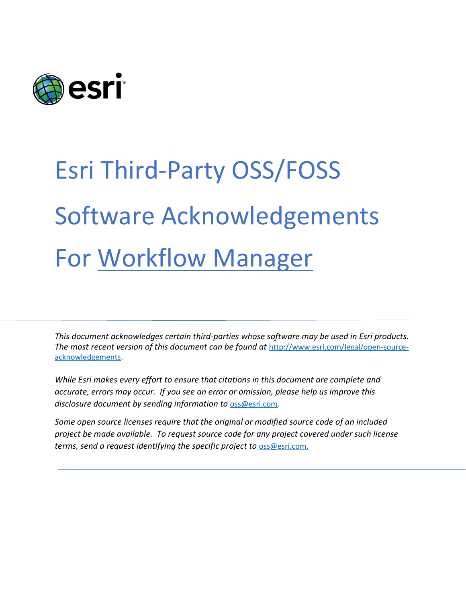

# Esri Third-Party OSS/FOSS Software Acknowledgements For Workflow Manager

This document acknowledges certain third‐parties whose software may be used in Esri products. The most recent version of this document can be found at http://www.esri.com/legal/open-sourceacknowledgements.

While Esri makes every effort to ensure that citations in this document are complete and accurate, errors may occur. If you see an error or omission, please help us improve this disclosure document by sending information to oss@esri.com.

Some open source licenses require that the original or modified source code of an included project be made available. To request source code for any project covered under such license terms, send a request identifying the specific project to oss@esri.com.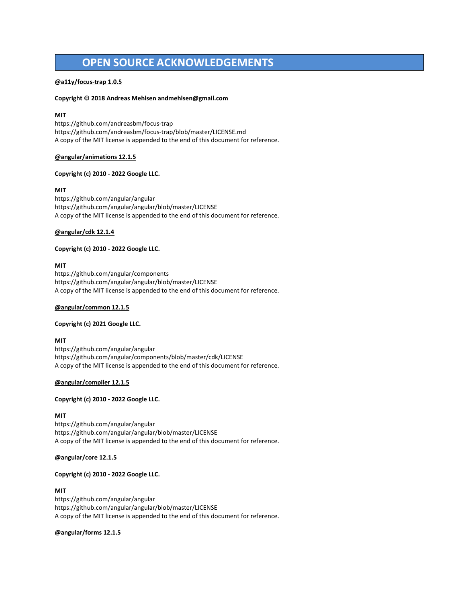# OPEN SOURCE ACKNOWLEDGEMENTS

# @a11y/focus-trap 1.0.5

# Copyright © 2018 Andreas Mehlsen andmehlsen@gmail.com

# MIT

https://github.com/andreasbm/focus-trap https://github.com/andreasbm/focus-trap/blob/master/LICENSE.md A copy of the MIT license is appended to the end of this document for reference.

# @angular/animations 12.1.5

# Copyright (c) 2010 - 2022 Google LLC.

# MIT

https://github.com/angular/angular https://github.com/angular/angular/blob/master/LICENSE A copy of the MIT license is appended to the end of this document for reference.

# @angular/cdk 12.1.4

# Copyright (c) 2010 - 2022 Google LLC.

# MIT

https://github.com/angular/components https://github.com/angular/angular/blob/master/LICENSE A copy of the MIT license is appended to the end of this document for reference.

## @angular/common 12.1.5

## Copyright (c) 2021 Google LLC.

# MIT

https://github.com/angular/angular https://github.com/angular/components/blob/master/cdk/LICENSE A copy of the MIT license is appended to the end of this document for reference.

# @angular/compiler 12.1.5

## Copyright (c) 2010 - 2022 Google LLC.

# MIT

https://github.com/angular/angular https://github.com/angular/angular/blob/master/LICENSE A copy of the MIT license is appended to the end of this document for reference.

# @angular/core 12.1.5

# Copyright (c) 2010 - 2022 Google LLC.

# MIT

https://github.com/angular/angular https://github.com/angular/angular/blob/master/LICENSE A copy of the MIT license is appended to the end of this document for reference.

# @angular/forms 12.1.5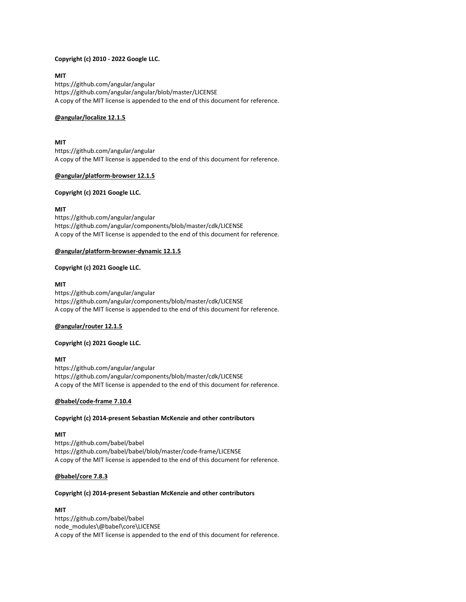# Copyright (c) 2010 - 2022 Google LLC.

MIT https://github.com/angular/angular https://github.com/angular/angular/blob/master/LICENSE A copy of the MIT license is appended to the end of this document for reference.

# @angular/localize 12.1.5

## MIT

https://github.com/angular/angular A copy of the MIT license is appended to the end of this document for reference.

## @angular/platform-browser 12.1.5

# Copyright (c) 2021 Google LLC.

# MIT

https://github.com/angular/angular https://github.com/angular/components/blob/master/cdk/LICENSE A copy of the MIT license is appended to the end of this document for reference.

# @angular/platform-browser-dynamic 12.1.5

# Copyright (c) 2021 Google LLC.

# MIT

https://github.com/angular/angular https://github.com/angular/components/blob/master/cdk/LICENSE A copy of the MIT license is appended to the end of this document for reference.

## @angular/router 12.1.5

## Copyright (c) 2021 Google LLC.

# MIT

https://github.com/angular/angular https://github.com/angular/components/blob/master/cdk/LICENSE A copy of the MIT license is appended to the end of this document for reference.

## @babel/code-frame 7.10.4

# Copyright (c) 2014-present Sebastian McKenzie and other contributors

## MIT

https://github.com/babel/babel https://github.com/babel/babel/blob/master/code-frame/LICENSE A copy of the MIT license is appended to the end of this document for reference.

# @babel/core 7.8.3

## Copyright (c) 2014-present Sebastian McKenzie and other contributors

## **MIT**

https://github.com/babel/babel node\_modules\@babel\core\LICENSE A copy of the MIT license is appended to the end of this document for reference.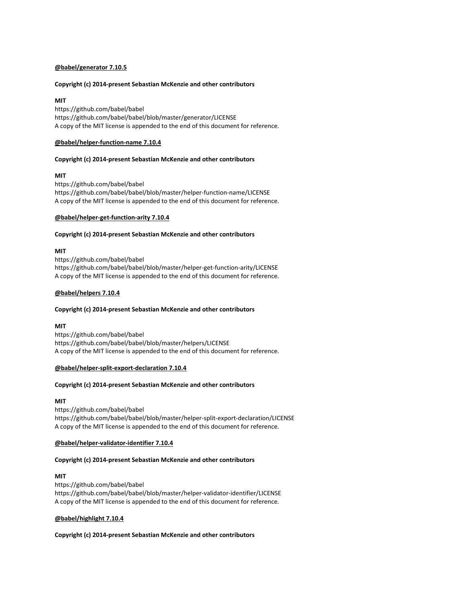# @babel/generator 7.10.5

# Copyright (c) 2014-present Sebastian McKenzie and other contributors

# MIT

https://github.com/babel/babel https://github.com/babel/babel/blob/master/generator/LICENSE A copy of the MIT license is appended to the end of this document for reference.

# @babel/helper-function-name 7.10.4

# Copyright (c) 2014-present Sebastian McKenzie and other contributors

# MIT

https://github.com/babel/babel https://github.com/babel/babel/blob/master/helper-function-name/LICENSE A copy of the MIT license is appended to the end of this document for reference.

# @babel/helper-get-function-arity 7.10.4

# Copyright (c) 2014-present Sebastian McKenzie and other contributors

# **MIT**

https://github.com/babel/babel https://github.com/babel/babel/blob/master/helper-get-function-arity/LICENSE A copy of the MIT license is appended to the end of this document for reference.

# @babel/helpers 7.10.4

## Copyright (c) 2014-present Sebastian McKenzie and other contributors

## MIT

https://github.com/babel/babel https://github.com/babel/babel/blob/master/helpers/LICENSE A copy of the MIT license is appended to the end of this document for reference.

## @babel/helper-split-export-declaration 7.10.4

## Copyright (c) 2014-present Sebastian McKenzie and other contributors

## **MIT**

https://github.com/babel/babel https://github.com/babel/babel/blob/master/helper-split-export-declaration/LICENSE A copy of the MIT license is appended to the end of this document for reference.

## @babel/helper-validator-identifier 7.10.4

## Copyright (c) 2014-present Sebastian McKenzie and other contributors

# MIT

https://github.com/babel/babel https://github.com/babel/babel/blob/master/helper-validator-identifier/LICENSE A copy of the MIT license is appended to the end of this document for reference.

# @babel/highlight 7.10.4

## Copyright (c) 2014-present Sebastian McKenzie and other contributors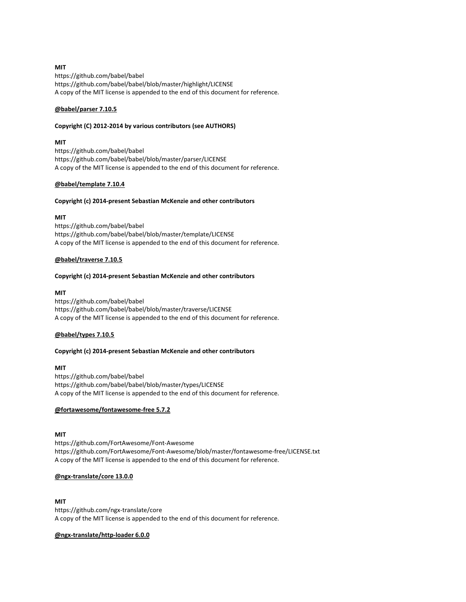# MIT

https://github.com/babel/babel https://github.com/babel/babel/blob/master/highlight/LICENSE A copy of the MIT license is appended to the end of this document for reference.

# @babel/parser 7.10.5

## Copyright (C) 2012-2014 by various contributors (see AUTHORS)

# MIT

https://github.com/babel/babel https://github.com/babel/babel/blob/master/parser/LICENSE A copy of the MIT license is appended to the end of this document for reference.

# @babel/template 7.10.4

# Copyright (c) 2014-present Sebastian McKenzie and other contributors

# MIT

https://github.com/babel/babel https://github.com/babel/babel/blob/master/template/LICENSE A copy of the MIT license is appended to the end of this document for reference.

# @babel/traverse 7.10.5

# Copyright (c) 2014-present Sebastian McKenzie and other contributors

# MIT

https://github.com/babel/babel https://github.com/babel/babel/blob/master/traverse/LICENSE A copy of the MIT license is appended to the end of this document for reference.

# @babel/types 7.10.5

## Copyright (c) 2014-present Sebastian McKenzie and other contributors

# MIT

https://github.com/babel/babel https://github.com/babel/babel/blob/master/types/LICENSE A copy of the MIT license is appended to the end of this document for reference.

# @fortawesome/fontawesome-free 5.7.2

## MIT

https://github.com/FortAwesome/Font-Awesome https://github.com/FortAwesome/Font-Awesome/blob/master/fontawesome-free/LICENSE.txt A copy of the MIT license is appended to the end of this document for reference.

## @ngx-translate/core 13.0.0

## MIT

https://github.com/ngx-translate/core A copy of the MIT license is appended to the end of this document for reference.

# @ngx-translate/http-loader 6.0.0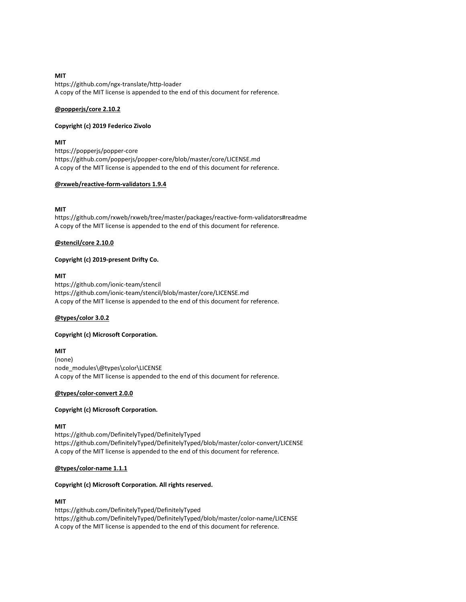## MIT https://github.com/ngx-translate/http-loader A copy of the MIT license is appended to the end of this document for reference.

# @popperjs/core 2.10.2

# Copyright (c) 2019 Federico Zivolo

# **MIT**

https://popperjs/popper-core https://github.com/popperjs/popper-core/blob/master/core/LICENSE.md A copy of the MIT license is appended to the end of this document for reference.

# @rxweb/reactive-form-validators 1.9.4

# MIT

https://github.com/rxweb/rxweb/tree/master/packages/reactive-form-validators#readme A copy of the MIT license is appended to the end of this document for reference.

# @stencil/core 2.10.0

# Copyright (c) 2019-present Drifty Co.

# MIT

https://github.com/ionic-team/stencil https://github.com/ionic-team/stencil/blob/master/core/LICENSE.md A copy of the MIT license is appended to the end of this document for reference.

# @types/color 3.0.2

# Copyright (c) Microsoft Corporation.

# MIT

(none) node\_modules\@types\color\LICENSE A copy of the MIT license is appended to the end of this document for reference.

# @types/color-convert 2.0.0

# Copyright (c) Microsoft Corporation.

# MIT

https://github.com/DefinitelyTyped/DefinitelyTyped https://github.com/DefinitelyTyped/DefinitelyTyped/blob/master/color-convert/LICENSE A copy of the MIT license is appended to the end of this document for reference.

# @types/color-name 1.1.1

# Copyright (c) Microsoft Corporation. All rights reserved.

# MIT

https://github.com/DefinitelyTyped/DefinitelyTyped https://github.com/DefinitelyTyped/DefinitelyTyped/blob/master/color-name/LICENSE A copy of the MIT license is appended to the end of this document for reference.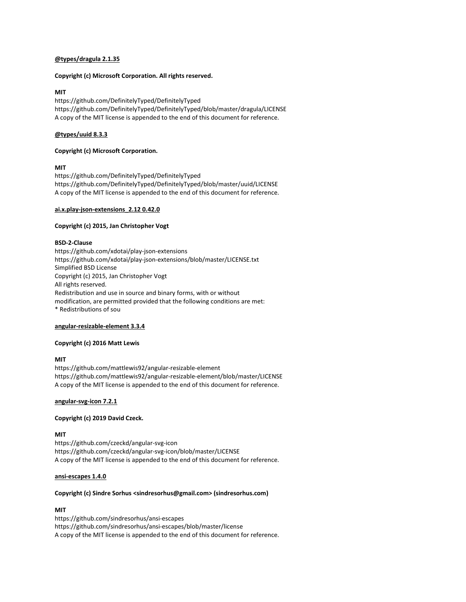# @types/dragula 2.1.35

## Copyright (c) Microsoft Corporation. All rights reserved.

# **MIT**

https://github.com/DefinitelyTyped/DefinitelyTyped https://github.com/DefinitelyTyped/DefinitelyTyped/blob/master/dragula/LICENSE A copy of the MIT license is appended to the end of this document for reference.

# @types/uuid 8.3.3

# Copyright (c) Microsoft Corporation.

# MIT

https://github.com/DefinitelyTyped/DefinitelyTyped https://github.com/DefinitelyTyped/DefinitelyTyped/blob/master/uuid/LICENSE A copy of the MIT license is appended to the end of this document for reference.

## ai.x.play-json-extensions\_2.12 0.42.0

## Copyright (c) 2015, Jan Christopher Vogt

# BSD-2-Clause

https://github.com/xdotai/play-json-extensions https://github.com/xdotai/play-json-extensions/blob/master/LICENSE.txt Simplified BSD License Copyright (c) 2015, Jan Christopher Vogt All rights reserved. Redistribution and use in source and binary forms, with or without modification, are permitted provided that the following conditions are met: \* Redistributions of sou

## angular-resizable-element 3.3.4

## Copyright (c) 2016 Matt Lewis

# MIT

https://github.com/mattlewis92/angular-resizable-element https://github.com/mattlewis92/angular-resizable-element/blob/master/LICENSE A copy of the MIT license is appended to the end of this document for reference.

## angular-svg-icon 7.2.1

## Copyright (c) 2019 David Czeck.

## MIT

https://github.com/czeckd/angular-svg-icon https://github.com/czeckd/angular-svg-icon/blob/master/LICENSE A copy of the MIT license is appended to the end of this document for reference.

## ansi-escapes 1.4.0

## Copyright (c) Sindre Sorhus <sindresorhus@gmail.com> (sindresorhus.com)

# **MIT**

https://github.com/sindresorhus/ansi-escapes https://github.com/sindresorhus/ansi-escapes/blob/master/license A copy of the MIT license is appended to the end of this document for reference.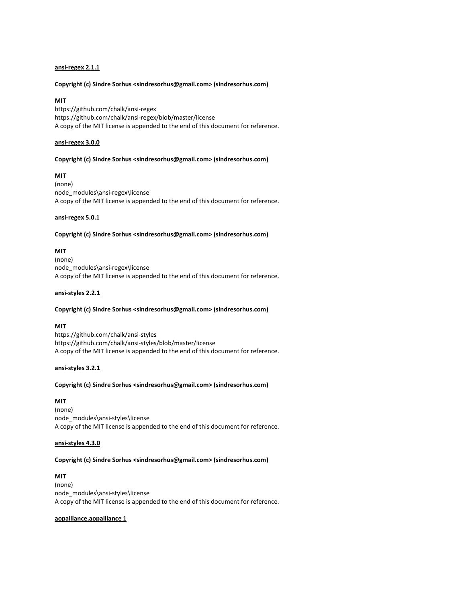# ansi-regex 2.1.1

## Copyright (c) Sindre Sorhus <sindresorhus@gmail.com> (sindresorhus.com)

## MIT

https://github.com/chalk/ansi-regex https://github.com/chalk/ansi-regex/blob/master/license A copy of the MIT license is appended to the end of this document for reference.

## ansi-regex 3.0.0

# Copyright (c) Sindre Sorhus <sindresorhus@gmail.com> (sindresorhus.com)

MIT (none) node\_modules\ansi-regex\license A copy of the MIT license is appended to the end of this document for reference.

## ansi-regex 5.0.1

#### Copyright (c) Sindre Sorhus <sindresorhus@gmail.com> (sindresorhus.com)

#### MIT

(none) node\_modules\ansi-regex\license A copy of the MIT license is appended to the end of this document for reference.

## ansi-styles 2.2.1

# Copyright (c) Sindre Sorhus <sindresorhus@gmail.com> (sindresorhus.com)

## MIT

https://github.com/chalk/ansi-styles https://github.com/chalk/ansi-styles/blob/master/license A copy of the MIT license is appended to the end of this document for reference.

## ansi-styles 3.2.1

## Copyright (c) Sindre Sorhus <sindresorhus@gmail.com> (sindresorhus.com)

MIT (none) node\_modules\ansi-styles\license A copy of the MIT license is appended to the end of this document for reference.

# ansi-styles 4.3.0

# Copyright (c) Sindre Sorhus <sindresorhus@gmail.com> (sindresorhus.com)

MIT (none) node\_modules\ansi-styles\license A copy of the MIT license is appended to the end of this document for reference.

## aopalliance.aopalliance 1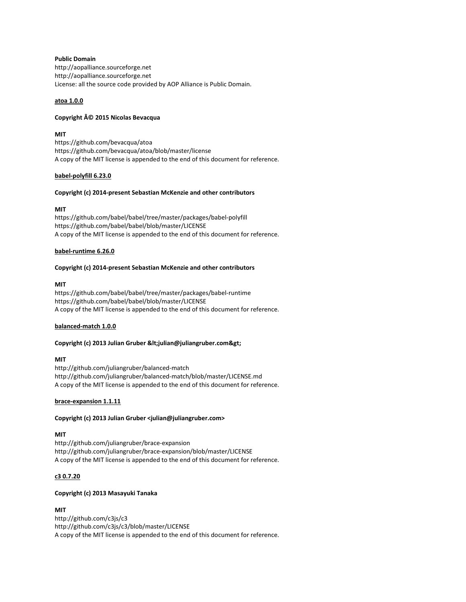Public Domain http://aopalliance.sourceforge.net http://aopalliance.sourceforge.net License: all the source code provided by AOP Alliance is Public Domain.

# atoa 1.0.0

# Copyright © 2015 Nicolas Bevacqua

# MIT

https://github.com/bevacqua/atoa https://github.com/bevacqua/atoa/blob/master/license A copy of the MIT license is appended to the end of this document for reference.

# babel-polyfill 6.23.0

# Copyright (c) 2014-present Sebastian McKenzie and other contributors

# MIT

https://github.com/babel/babel/tree/master/packages/babel-polyfill https://github.com/babel/babel/blob/master/LICENSE A copy of the MIT license is appended to the end of this document for reference.

# babel-runtime 6.26.0

# Copyright (c) 2014-present Sebastian McKenzie and other contributors

# MIT

https://github.com/babel/babel/tree/master/packages/babel-runtime https://github.com/babel/babel/blob/master/LICENSE A copy of the MIT license is appended to the end of this document for reference.

## balanced-match 1.0.0

# Copyright (c) 2013 Julian Gruber <julian@juliangruber.com&gt;

## MIT

http://github.com/juliangruber/balanced-match http://github.com/juliangruber/balanced-match/blob/master/LICENSE.md A copy of the MIT license is appended to the end of this document for reference.

## brace-expansion 1.1.11

# Copyright (c) 2013 Julian Gruber <julian@juliangruber.com>

## MIT

http://github.com/juliangruber/brace-expansion http://github.com/juliangruber/brace-expansion/blob/master/LICENSE A copy of the MIT license is appended to the end of this document for reference.

# c3 0.7.20

# Copyright (c) 2013 Masayuki Tanaka

# **MIT**

http://github.com/c3js/c3 http://github.com/c3js/c3/blob/master/LICENSE A copy of the MIT license is appended to the end of this document for reference.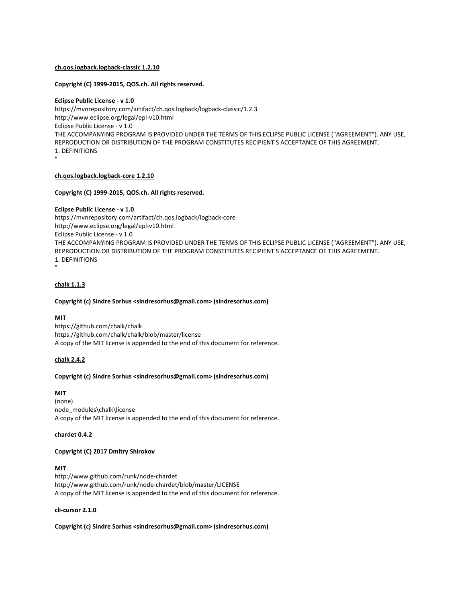# ch.qos.logback.logback-classic 1.2.10

## Copyright (C) 1999-2015, QOS.ch. All rights reserved.

Eclipse Public License - v 1.0 https://mvnrepository.com/artifact/ch.qos.logback/logback-classic/1.2.3 http://www.eclipse.org/legal/epl-v10.html Eclipse Public License - v 1.0 THE ACCOMPANYING PROGRAM IS PROVIDED UNDER THE TERMS OF THIS ECLIPSE PUBLIC LICENSE ("AGREEMENT"). ANY USE, REPRODUCTION OR DISTRIBUTION OF THE PROGRAM CONSTITUTES RECIPIENT'S ACCEPTANCE OF THIS AGREEMENT. 1. DEFINITIONS "

## ch.qos.logback.logback-core 1.2.10

# Copyright (C) 1999-2015, QOS.ch. All rights reserved.

Eclipse Public License - v 1.0 https://mvnrepository.com/artifact/ch.qos.logback/logback-core http://www.eclipse.org/legal/epl-v10.html Eclipse Public License - v 1.0 THE ACCOMPANYING PROGRAM IS PROVIDED UNDER THE TERMS OF THIS ECLIPSE PUBLIC LICENSE ("AGREEMENT"). ANY USE, REPRODUCTION OR DISTRIBUTION OF THE PROGRAM CONSTITUTES RECIPIENT'S ACCEPTANCE OF THIS AGREEMENT. 1. DEFINITIONS "

# chalk 1.1.3

# Copyright (c) Sindre Sorhus <sindresorhus@gmail.com> (sindresorhus.com)

## MIT

https://github.com/chalk/chalk https://github.com/chalk/chalk/blob/master/license A copy of the MIT license is appended to the end of this document for reference.

# chalk 2.4.2

## Copyright (c) Sindre Sorhus <sindresorhus@gmail.com> (sindresorhus.com)

## MIT

(none) node\_modules\chalk\license A copy of the MIT license is appended to the end of this document for reference.

## chardet 0.4.2

# Copyright (C) 2017 Dmitry Shirokov

# MIT

http://www.github.com/runk/node-chardet http://www.github.com/runk/node-chardet/blob/master/LICENSE A copy of the MIT license is appended to the end of this document for reference.

## cli-cursor 2.1.0

Copyright (c) Sindre Sorhus <sindresorhus@gmail.com> (sindresorhus.com)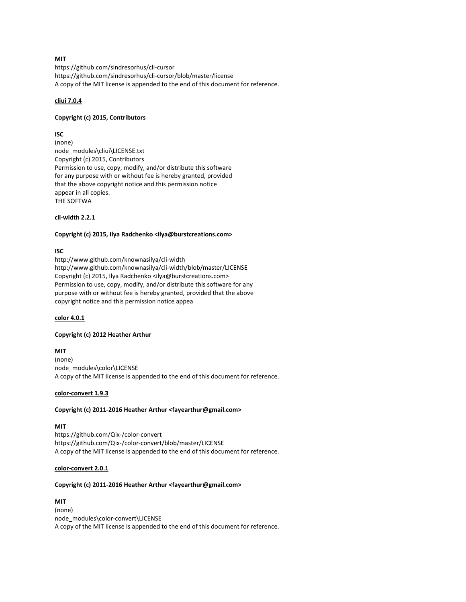# MIT

https://github.com/sindresorhus/cli-cursor https://github.com/sindresorhus/cli-cursor/blob/master/license A copy of the MIT license is appended to the end of this document for reference.

# cliui 7.0.4

## Copyright (c) 2015, Contributors

# ISC

(none) node\_modules\cliui\LICENSE.txt Copyright (c) 2015, Contributors Permission to use, copy, modify, and/or distribute this software for any purpose with or without fee is hereby granted, provided that the above copyright notice and this permission notice appear in all copies. THE SOFTWA

# cli-width 2.2.1

# Copyright (c) 2015, Ilya Radchenko <ilya@burstcreations.com>

# ISC

http://www.github.com/knownasilya/cli-width http://www.github.com/knownasilya/cli-width/blob/master/LICENSE Copyright (c) 2015, Ilya Radchenko <ilya@burstcreations.com> Permission to use, copy, modify, and/or distribute this software for any purpose with or without fee is hereby granted, provided that the above copyright notice and this permission notice appea

## color 4.0.1

## Copyright (c) 2012 Heather Arthur

MIT (none) node\_modules\color\LICENSE A copy of the MIT license is appended to the end of this document for reference.

## color-convert 1.9.3

# Copyright (c) 2011-2016 Heather Arthur <fayearthur@gmail.com>

# MIT

https://github.com/Qix-/color-convert https://github.com/Qix-/color-convert/blob/master/LICENSE A copy of the MIT license is appended to the end of this document for reference.

## color-convert 2.0.1

## Copyright (c) 2011-2016 Heather Arthur <fayearthur@gmail.com>

MIT (none) node\_modules\color-convert\LICENSE A copy of the MIT license is appended to the end of this document for reference.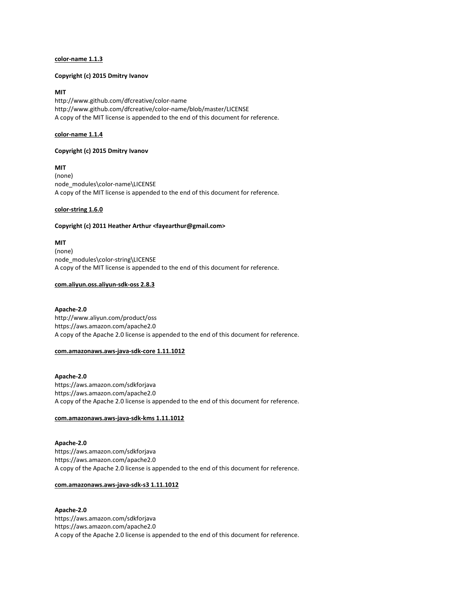## color-name 1.1.3

#### Copyright (c) 2015 Dmitry Ivanov

## MIT

http://www.github.com/dfcreative/color-name http://www.github.com/dfcreative/color-name/blob/master/LICENSE A copy of the MIT license is appended to the end of this document for reference.

## color-name 1.1.4

## Copyright (c) 2015 Dmitry Ivanov

MIT

(none) node\_modules\color-name\LICENSE A copy of the MIT license is appended to the end of this document for reference.

## color-string 1.6.0

# Copyright (c) 2011 Heather Arthur <fayearthur@gmail.com>

MIT (none) node\_modules\color-string\LICENSE A copy of the MIT license is appended to the end of this document for reference.

## com.aliyun.oss.aliyun-sdk-oss 2.8.3

## Apache-2.0

http://www.aliyun.com/product/oss https://aws.amazon.com/apache2.0 A copy of the Apache 2.0 license is appended to the end of this document for reference.

## com.amazonaws.aws-java-sdk-core 1.11.1012

Apache-2.0 https://aws.amazon.com/sdkforjava https://aws.amazon.com/apache2.0 A copy of the Apache 2.0 license is appended to the end of this document for reference.

# com.amazonaws.aws-java-sdk-kms 1.11.1012

Apache-2.0 https://aws.amazon.com/sdkforjava https://aws.amazon.com/apache2.0 A copy of the Apache 2.0 license is appended to the end of this document for reference.

#### com.amazonaws.aws-java-sdk-s3 1.11.1012

Apache-2.0 https://aws.amazon.com/sdkforjava https://aws.amazon.com/apache2.0 A copy of the Apache 2.0 license is appended to the end of this document for reference.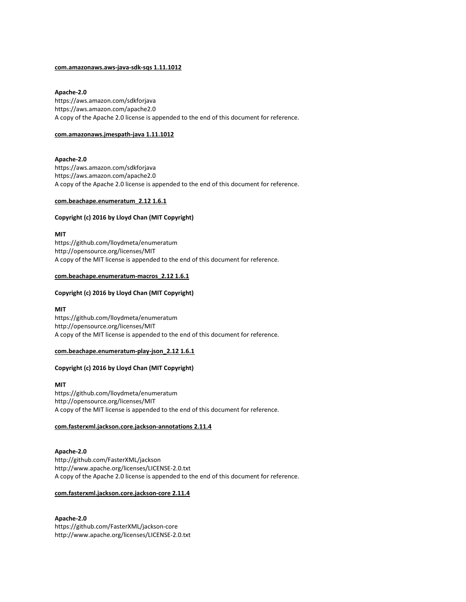## com.amazonaws.aws-java-sdk-sqs 1.11.1012

# Apache-2.0

https://aws.amazon.com/sdkforjava https://aws.amazon.com/apache2.0 A copy of the Apache 2.0 license is appended to the end of this document for reference.

#### com.amazonaws.jmespath-java 1.11.1012

# Apache-2.0

https://aws.amazon.com/sdkforjava https://aws.amazon.com/apache2.0 A copy of the Apache 2.0 license is appended to the end of this document for reference.

## com.beachape.enumeratum\_2.12 1.6.1

#### Copyright (c) 2016 by Lloyd Chan (MIT Copyright)

MIT https://github.com/lloydmeta/enumeratum http://opensource.org/licenses/MIT A copy of the MIT license is appended to the end of this document for reference.

## com.beachape.enumeratum-macros\_2.12 1.6.1

## Copyright (c) 2016 by Lloyd Chan (MIT Copyright)

#### MIT

https://github.com/lloydmeta/enumeratum http://opensource.org/licenses/MIT A copy of the MIT license is appended to the end of this document for reference.

#### com.beachape.enumeratum-play-json\_2.12 1.6.1

# Copyright (c) 2016 by Lloyd Chan (MIT Copyright)

#### MIT

https://github.com/lloydmeta/enumeratum http://opensource.org/licenses/MIT A copy of the MIT license is appended to the end of this document for reference.

#### com.fasterxml.jackson.core.jackson-annotations 2.11.4

# Apache-2.0

http://github.com/FasterXML/jackson http://www.apache.org/licenses/LICENSE-2.0.txt A copy of the Apache 2.0 license is appended to the end of this document for reference.

## com.fasterxml.jackson.core.jackson-core 2.11.4

# Apache-2.0

https://github.com/FasterXML/jackson-core http://www.apache.org/licenses/LICENSE-2.0.txt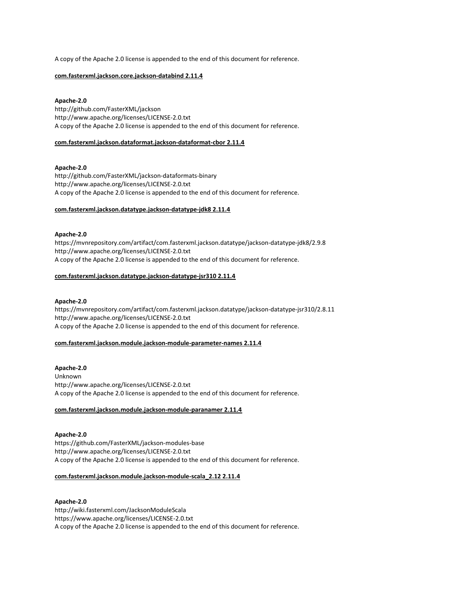A copy of the Apache 2.0 license is appended to the end of this document for reference.

## com.fasterxml.jackson.core.jackson-databind 2.11.4

# Apache-2.0

http://github.com/FasterXML/jackson http://www.apache.org/licenses/LICENSE-2.0.txt A copy of the Apache 2.0 license is appended to the end of this document for reference.

## com.fasterxml.jackson.dataformat.jackson-dataformat-cbor 2.11.4

# Apache-2.0

http://github.com/FasterXML/jackson-dataformats-binary http://www.apache.org/licenses/LICENSE-2.0.txt A copy of the Apache 2.0 license is appended to the end of this document for reference.

## com.fasterxml.jackson.datatype.jackson-datatype-jdk8 2.11.4

# Apache-2.0

https://mvnrepository.com/artifact/com.fasterxml.jackson.datatype/jackson-datatype-jdk8/2.9.8 http://www.apache.org/licenses/LICENSE-2.0.txt A copy of the Apache 2.0 license is appended to the end of this document for reference.

# com.fasterxml.jackson.datatype.jackson-datatype-jsr310 2.11.4

## Apache-2.0

https://mvnrepository.com/artifact/com.fasterxml.jackson.datatype/jackson-datatype-jsr310/2.8.11 http://www.apache.org/licenses/LICENSE-2.0.txt A copy of the Apache 2.0 license is appended to the end of this document for reference.

## com.fasterxml.jackson.module.jackson-module-parameter-names 2.11.4

# Apache-2.0

Unknown http://www.apache.org/licenses/LICENSE-2.0.txt A copy of the Apache 2.0 license is appended to the end of this document for reference.

# com.fasterxml.jackson.module.jackson-module-paranamer 2.11.4

Apache-2.0 https://github.com/FasterXML/jackson-modules-base http://www.apache.org/licenses/LICENSE-2.0.txt A copy of the Apache 2.0 license is appended to the end of this document for reference.

## com.fasterxml.jackson.module.jackson-module-scala\_2.12 2.11.4

# Apache-2.0 http://wiki.fasterxml.com/JacksonModuleScala https://www.apache.org/licenses/LICENSE-2.0.txt A copy of the Apache 2.0 license is appended to the end of this document for reference.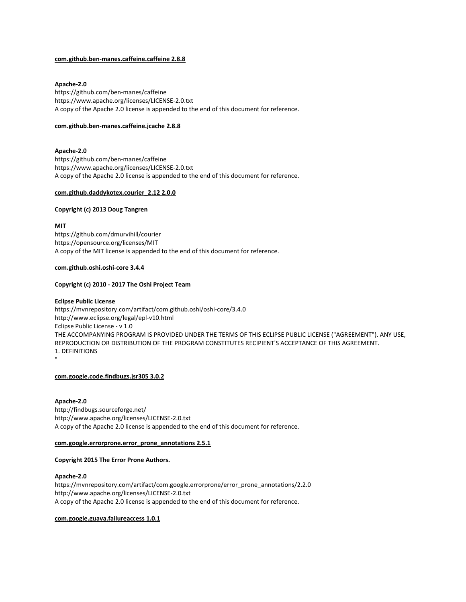## com.github.ben-manes.caffeine.caffeine 2.8.8

## Apache-2.0

https://github.com/ben-manes/caffeine https://www.apache.org/licenses/LICENSE-2.0.txt A copy of the Apache 2.0 license is appended to the end of this document for reference.

#### com.github.ben-manes.caffeine.jcache 2.8.8

# Apache-2.0

https://github.com/ben-manes/caffeine https://www.apache.org/licenses/LICENSE-2.0.txt A copy of the Apache 2.0 license is appended to the end of this document for reference.

## com.github.daddykotex.courier\_2.12 2.0.0

# Copyright (c) 2013 Doug Tangren

**MIT** 

https://github.com/dmurvihill/courier https://opensource.org/licenses/MIT A copy of the MIT license is appended to the end of this document for reference.

#### com.github.oshi.oshi-core 3.4.4

#### Copyright (c) 2010 - 2017 The Oshi Project Team

## Eclipse Public License

https://mvnrepository.com/artifact/com.github.oshi/oshi-core/3.4.0 http://www.eclipse.org/legal/epl-v10.html Eclipse Public License - v 1.0 THE ACCOMPANYING PROGRAM IS PROVIDED UNDER THE TERMS OF THIS ECLIPSE PUBLIC LICENSE ("AGREEMENT"). ANY USE, REPRODUCTION OR DISTRIBUTION OF THE PROGRAM CONSTITUTES RECIPIENT'S ACCEPTANCE OF THIS AGREEMENT. 1. DEFINITIONS "

com.google.code.findbugs.jsr305 3.0.2

# Apache-2.0

http://findbugs.sourceforge.net/ http://www.apache.org/licenses/LICENSE-2.0.txt A copy of the Apache 2.0 license is appended to the end of this document for reference.

#### com.google.errorprone.error\_prone\_annotations 2.5.1

# Copyright 2015 The Error Prone Authors.

## Apache-2.0

https://mvnrepository.com/artifact/com.google.errorprone/error\_prone\_annotations/2.2.0 http://www.apache.org/licenses/LICENSE-2.0.txt A copy of the Apache 2.0 license is appended to the end of this document for reference.

# com.google.guava.failureaccess 1.0.1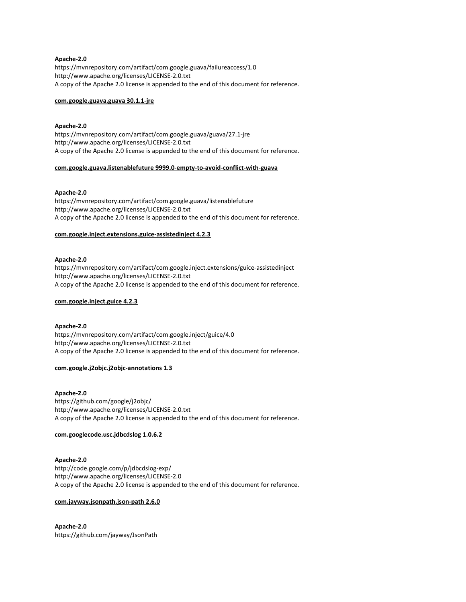## Apache-2.0

https://mvnrepository.com/artifact/com.google.guava/failureaccess/1.0 http://www.apache.org/licenses/LICENSE-2.0.txt A copy of the Apache 2.0 license is appended to the end of this document for reference.

## com.google.guava.guava 30.1.1-jre

## Apache-2.0

https://mvnrepository.com/artifact/com.google.guava/guava/27.1-jre http://www.apache.org/licenses/LICENSE-2.0.txt A copy of the Apache 2.0 license is appended to the end of this document for reference.

#### com.google.guava.listenablefuture 9999.0-empty-to-avoid-conflict-with-guava

#### Apache-2.0

https://mvnrepository.com/artifact/com.google.guava/listenablefuture http://www.apache.org/licenses/LICENSE-2.0.txt A copy of the Apache 2.0 license is appended to the end of this document for reference.

## com.google.inject.extensions.guice-assistedinject 4.2.3

#### Apache-2.0

https://mvnrepository.com/artifact/com.google.inject.extensions/guice-assistedinject http://www.apache.org/licenses/LICENSE-2.0.txt A copy of the Apache 2.0 license is appended to the end of this document for reference.

#### com.google.inject.guice 4.2.3

# Apache-2.0

https://mvnrepository.com/artifact/com.google.inject/guice/4.0 http://www.apache.org/licenses/LICENSE-2.0.txt A copy of the Apache 2.0 license is appended to the end of this document for reference.

## com.google.j2objc.j2objc-annotations 1.3

#### Apache-2.0

https://github.com/google/j2objc/ http://www.apache.org/licenses/LICENSE-2.0.txt A copy of the Apache 2.0 license is appended to the end of this document for reference.

## com.googlecode.usc.jdbcdslog 1.0.6.2

# Apache-2.0

http://code.google.com/p/jdbcdslog-exp/ http://www.apache.org/licenses/LICENSE-2.0 A copy of the Apache 2.0 license is appended to the end of this document for reference.

## com.jayway.jsonpath.json-path 2.6.0

# Apache-2.0 https://github.com/jayway/JsonPath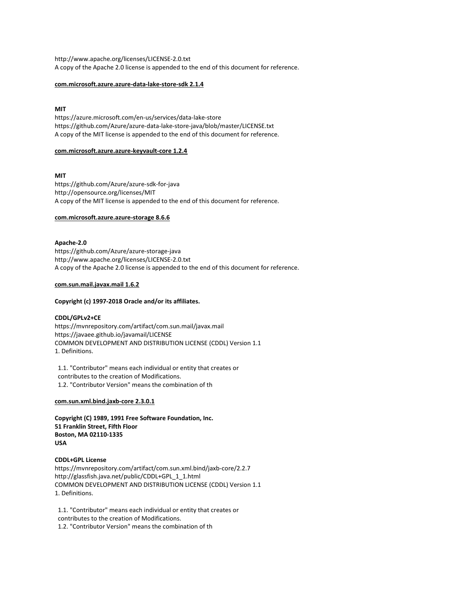http://www.apache.org/licenses/LICENSE-2.0.txt A copy of the Apache 2.0 license is appended to the end of this document for reference.

## com.microsoft.azure.azure-data-lake-store-sdk 2.1.4

# MIT

https://azure.microsoft.com/en-us/services/data-lake-store https://github.com/Azure/azure-data-lake-store-java/blob/master/LICENSE.txt A copy of the MIT license is appended to the end of this document for reference.

# com.microsoft.azure.azure-keyvault-core 1.2.4

# MIT

https://github.com/Azure/azure-sdk-for-java http://opensource.org/licenses/MIT A copy of the MIT license is appended to the end of this document for reference.

# com.microsoft.azure.azure-storage 8.6.6

# Apache-2.0

https://github.com/Azure/azure-storage-java http://www.apache.org/licenses/LICENSE-2.0.txt A copy of the Apache 2.0 license is appended to the end of this document for reference.

# com.sun.mail.javax.mail 1.6.2

# Copyright (c) 1997-2018 Oracle and/or its affiliates.

## CDDL/GPLv2+CE

https://mvnrepository.com/artifact/com.sun.mail/javax.mail https://javaee.github.io/javamail/LICENSE COMMON DEVELOPMENT AND DISTRIBUTION LICENSE (CDDL) Version 1.1 1. Definitions.

 1.1. "Contributor" means each individual or entity that creates or contributes to the creation of Modifications. 1.2. "Contributor Version" means the combination of th

# com.sun.xml.bind.jaxb-core 2.3.0.1

Copyright (C) 1989, 1991 Free Software Foundation, Inc. 51 Franklin Street, Fifth Floor Boston, MA 02110-1335 USA

CDDL+GPL License https://mvnrepository.com/artifact/com.sun.xml.bind/jaxb-core/2.2.7 http://glassfish.java.net/public/CDDL+GPL\_1\_1.html COMMON DEVELOPMENT AND DISTRIBUTION LICENSE (CDDL) Version 1.1 1. Definitions.

 1.1. "Contributor" means each individual or entity that creates or contributes to the creation of Modifications.

1.2. "Contributor Version" means the combination of th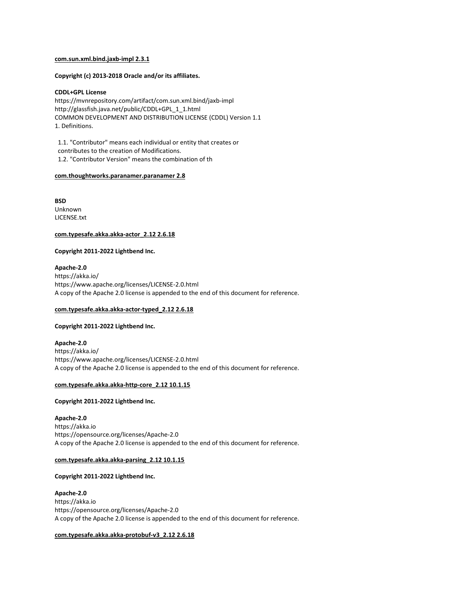#### com.sun.xml.bind.jaxb-impl 2.3.1

Copyright (c) 2013-2018 Oracle and/or its affiliates.

## CDDL+GPL License

https://mvnrepository.com/artifact/com.sun.xml.bind/jaxb-impl http://glassfish.java.net/public/CDDL+GPL\_1\_1.html COMMON DEVELOPMENT AND DISTRIBUTION LICENSE (CDDL) Version 1.1 1. Definitions.

 1.1. "Contributor" means each individual or entity that creates or contributes to the creation of Modifications. 1.2. "Contributor Version" means the combination of th

#### com.thoughtworks.paranamer.paranamer 2.8

**BSD** Unknown LICENSE.txt

## com.typesafe.akka.akka-actor\_2.12 2.6.18

# Copyright 2011-2022 Lightbend Inc.

Apache-2.0 https://akka.io/ https://www.apache.org/licenses/LICENSE-2.0.html A copy of the Apache 2.0 license is appended to the end of this document for reference.

# com.typesafe.akka.akka-actor-typed\_2.12 2.6.18

#### Copyright 2011-2022 Lightbend Inc.

Apache-2.0 https://akka.io/ https://www.apache.org/licenses/LICENSE-2.0.html A copy of the Apache 2.0 license is appended to the end of this document for reference.

## com.typesafe.akka.akka-http-core\_2.12 10.1.15

## Copyright 2011-2022 Lightbend Inc.

## Apache-2.0

https://akka.io https://opensource.org/licenses/Apache-2.0 A copy of the Apache 2.0 license is appended to the end of this document for reference.

#### com.typesafe.akka.akka-parsing\_2.12 10.1.15

# Copyright 2011-2022 Lightbend Inc.

#### Apache-2.0

https://akka.io https://opensource.org/licenses/Apache-2.0 A copy of the Apache 2.0 license is appended to the end of this document for reference.

## com.typesafe.akka.akka-protobuf-v3\_2.12 2.6.18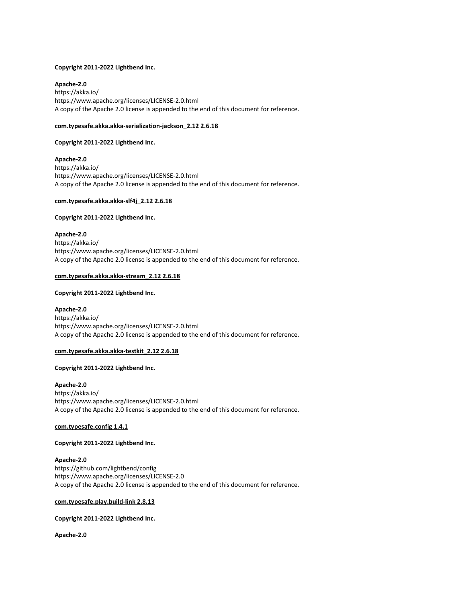## Copyright 2011-2022 Lightbend Inc.

Apache-2.0

https://akka.io/ https://www.apache.org/licenses/LICENSE-2.0.html A copy of the Apache 2.0 license is appended to the end of this document for reference.

## com.typesafe.akka.akka-serialization-jackson\_2.12 2.6.18

## Copyright 2011-2022 Lightbend Inc.

Apache-2.0 https://akka.io/ https://www.apache.org/licenses/LICENSE-2.0.html A copy of the Apache 2.0 license is appended to the end of this document for reference.

## com.typesafe.akka.akka-slf4j\_2.12 2.6.18

## Copyright 2011-2022 Lightbend Inc.

Apache-2.0 https://akka.io/ https://www.apache.org/licenses/LICENSE-2.0.html A copy of the Apache 2.0 license is appended to the end of this document for reference.

## com.typesafe.akka.akka-stream\_2.12 2.6.18

## Copyright 2011-2022 Lightbend Inc.

Apache-2.0 https://akka.io/ https://www.apache.org/licenses/LICENSE-2.0.html A copy of the Apache 2.0 license is appended to the end of this document for reference.

## com.typesafe.akka.akka-testkit\_2.12 2.6.18

# Copyright 2011-2022 Lightbend Inc.

Apache-2.0 https://akka.io/ https://www.apache.org/licenses/LICENSE-2.0.html A copy of the Apache 2.0 license is appended to the end of this document for reference.

#### com.typesafe.config 1.4.1

# Copyright 2011-2022 Lightbend Inc.

## Apache-2.0

https://github.com/lightbend/config https://www.apache.org/licenses/LICENSE-2.0 A copy of the Apache 2.0 license is appended to the end of this document for reference.

## com.typesafe.play.build-link 2.8.13

# Copyright 2011-2022 Lightbend Inc.

Apache-2.0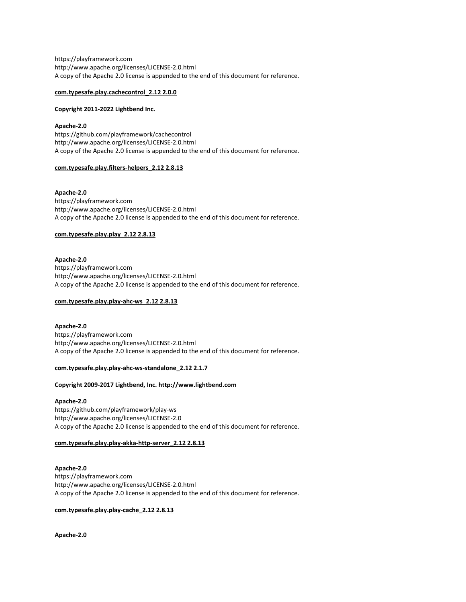https://playframework.com http://www.apache.org/licenses/LICENSE-2.0.html A copy of the Apache 2.0 license is appended to the end of this document for reference.

## com.typesafe.play.cachecontrol\_2.12 2.0.0

## Copyright 2011-2022 Lightbend Inc.

## Apache-2.0

https://github.com/playframework/cachecontrol http://www.apache.org/licenses/LICENSE-2.0.html A copy of the Apache 2.0 license is appended to the end of this document for reference.

## com.typesafe.play.filters-helpers\_2.12 2.8.13

Apache-2.0 https://playframework.com http://www.apache.org/licenses/LICENSE-2.0.html A copy of the Apache 2.0 license is appended to the end of this document for reference.

## com.typesafe.play.play\_2.12 2.8.13

# Apache-2.0

https://playframework.com http://www.apache.org/licenses/LICENSE-2.0.html A copy of the Apache 2.0 license is appended to the end of this document for reference.

# com.typesafe.play.play-ahc-ws\_2.12 2.8.13

# Apache-2.0 https://playframework.com http://www.apache.org/licenses/LICENSE-2.0.html A copy of the Apache 2.0 license is appended to the end of this document for reference.

# com.typesafe.play.play-ahc-ws-standalone\_2.12 2.1.7

## Copyright 2009-2017 Lightbend, Inc. http://www.lightbend.com

# Apache-2.0

https://github.com/playframework/play-ws http://www.apache.org/licenses/LICENSE-2.0 A copy of the Apache 2.0 license is appended to the end of this document for reference.

# com.typesafe.play.play-akka-http-server\_2.12 2.8.13

# Apache-2.0 https://playframework.com http://www.apache.org/licenses/LICENSE-2.0.html A copy of the Apache 2.0 license is appended to the end of this document for reference.

# com.typesafe.play.play-cache\_2.12 2.8.13

Apache-2.0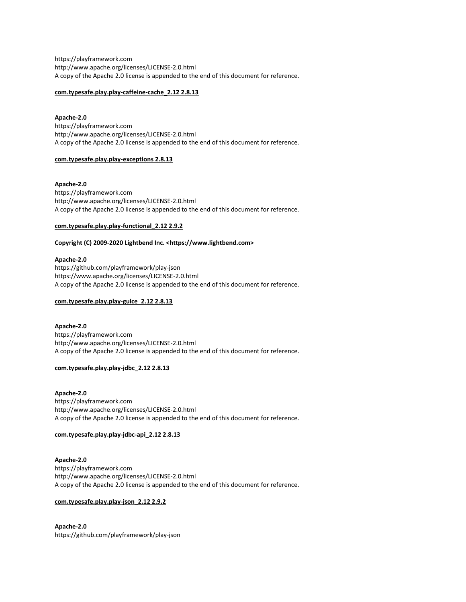https://playframework.com http://www.apache.org/licenses/LICENSE-2.0.html A copy of the Apache 2.0 license is appended to the end of this document for reference.

# com.typesafe.play.play-caffeine-cache\_2.12 2.8.13

## Apache-2.0

https://playframework.com http://www.apache.org/licenses/LICENSE-2.0.html A copy of the Apache 2.0 license is appended to the end of this document for reference.

# com.typesafe.play.play-exceptions 2.8.13

## Apache-2.0

https://playframework.com http://www.apache.org/licenses/LICENSE-2.0.html A copy of the Apache 2.0 license is appended to the end of this document for reference.

## com.typesafe.play.play-functional\_2.12 2.9.2

# Copyright (C) 2009-2020 Lightbend Inc. <https://www.lightbend.com>

# Apache-2.0

https://github.com/playframework/play-json https://www.apache.org/licenses/LICENSE-2.0.html A copy of the Apache 2.0 license is appended to the end of this document for reference.

# com.typesafe.play.play-guice\_2.12 2.8.13

# Apache-2.0 https://playframework.com

http://www.apache.org/licenses/LICENSE-2.0.html A copy of the Apache 2.0 license is appended to the end of this document for reference.

# com.typesafe.play.play-jdbc\_2.12 2.8.13

Apache-2.0 https://playframework.com http://www.apache.org/licenses/LICENSE-2.0.html A copy of the Apache 2.0 license is appended to the end of this document for reference.

## com.typesafe.play.play-jdbc-api\_2.12 2.8.13

# Apache-2.0 https://playframework.com http://www.apache.org/licenses/LICENSE-2.0.html A copy of the Apache 2.0 license is appended to the end of this document for reference.

# com.typesafe.play.play-json\_2.12 2.9.2

Apache-2.0 https://github.com/playframework/play-json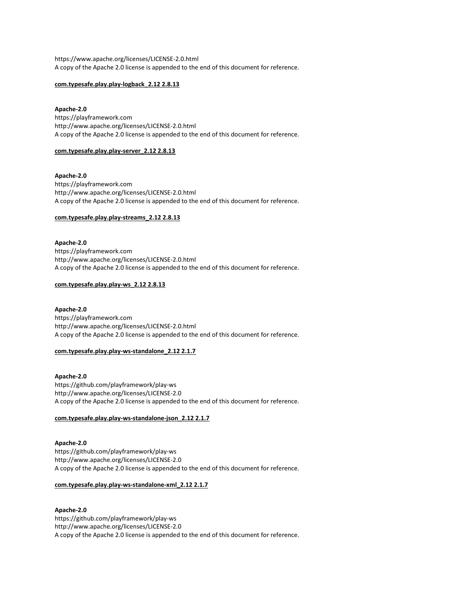https://www.apache.org/licenses/LICENSE-2.0.html A copy of the Apache 2.0 license is appended to the end of this document for reference.

## com.typesafe.play.play-logback\_2.12 2.8.13

# Apache-2.0

https://playframework.com http://www.apache.org/licenses/LICENSE-2.0.html A copy of the Apache 2.0 license is appended to the end of this document for reference.

#### com.typesafe.play.play-server\_2.12 2.8.13

Apache-2.0 https://playframework.com http://www.apache.org/licenses/LICENSE-2.0.html A copy of the Apache 2.0 license is appended to the end of this document for reference.

#### com.typesafe.play.play-streams\_2.12 2.8.13

Apache-2.0 https://playframework.com http://www.apache.org/licenses/LICENSE-2.0.html A copy of the Apache 2.0 license is appended to the end of this document for reference.

## com.typesafe.play.play-ws\_2.12 2.8.13

## Apache-2.0

https://playframework.com http://www.apache.org/licenses/LICENSE-2.0.html A copy of the Apache 2.0 license is appended to the end of this document for reference.

## com.typesafe.play.play-ws-standalone\_2.12 2.1.7

Apache-2.0 https://github.com/playframework/play-ws http://www.apache.org/licenses/LICENSE-2.0 A copy of the Apache 2.0 license is appended to the end of this document for reference.

## com.typesafe.play.play-ws-standalone-json\_2.12 2.1.7

Apache-2.0 https://github.com/playframework/play-ws http://www.apache.org/licenses/LICENSE-2.0 A copy of the Apache 2.0 license is appended to the end of this document for reference.

#### com.typesafe.play.play-ws-standalone-xml\_2.12 2.1.7

# Apache-2.0

https://github.com/playframework/play-ws http://www.apache.org/licenses/LICENSE-2.0 A copy of the Apache 2.0 license is appended to the end of this document for reference.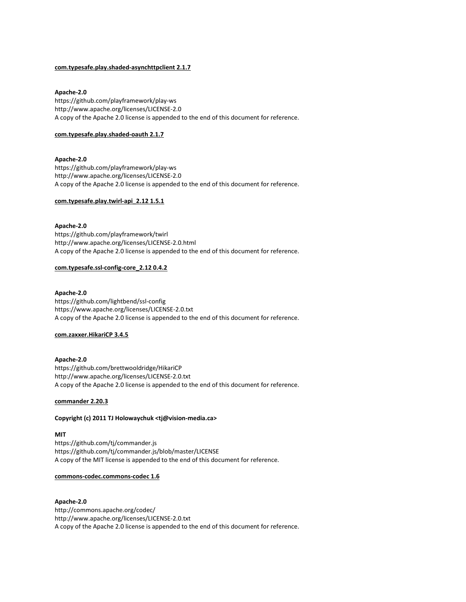# com.typesafe.play.shaded-asynchttpclient 2.1.7

# Apache-2.0

https://github.com/playframework/play-ws http://www.apache.org/licenses/LICENSE-2.0 A copy of the Apache 2.0 license is appended to the end of this document for reference.

## com.typesafe.play.shaded-oauth 2.1.7

# Apache-2.0

https://github.com/playframework/play-ws http://www.apache.org/licenses/LICENSE-2.0 A copy of the Apache 2.0 license is appended to the end of this document for reference.

# com.typesafe.play.twirl-api\_2.12 1.5.1

# Apache-2.0

https://github.com/playframework/twirl http://www.apache.org/licenses/LICENSE-2.0.html A copy of the Apache 2.0 license is appended to the end of this document for reference.

# com.typesafe.ssl-config-core\_2.12 0.4.2

# Apache-2.0

https://github.com/lightbend/ssl-config https://www.apache.org/licenses/LICENSE-2.0.txt A copy of the Apache 2.0 license is appended to the end of this document for reference.

## com.zaxxer.HikariCP 3.4.5

# Apache-2.0

https://github.com/brettwooldridge/HikariCP http://www.apache.org/licenses/LICENSE-2.0.txt A copy of the Apache 2.0 license is appended to the end of this document for reference.

## commander 2.20.3

# Copyright (c) 2011 TJ Holowaychuk <tj@vision-media.ca>

## MIT

https://github.com/tj/commander.js https://github.com/tj/commander.js/blob/master/LICENSE A copy of the MIT license is appended to the end of this document for reference.

## commons-codec.commons-codec 1.6

## Apache-2.0

http://commons.apache.org/codec/ http://www.apache.org/licenses/LICENSE-2.0.txt A copy of the Apache 2.0 license is appended to the end of this document for reference.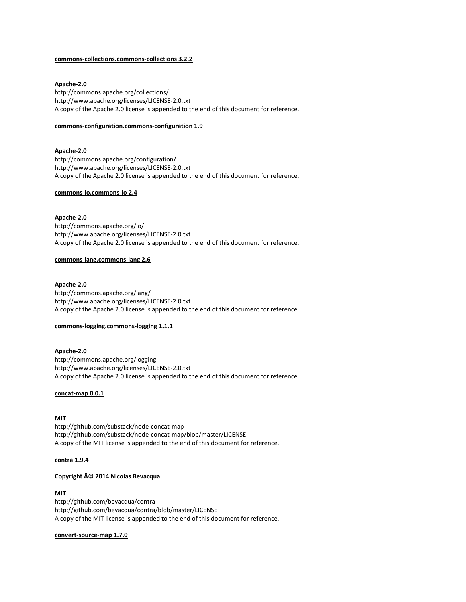#### commons-collections.commons-collections 3.2.2

## Apache-2.0

http://commons.apache.org/collections/ http://www.apache.org/licenses/LICENSE-2.0.txt A copy of the Apache 2.0 license is appended to the end of this document for reference.

#### commons-configuration.commons-configuration 1.9

Apache-2.0 http://commons.apache.org/configuration/ http://www.apache.org/licenses/LICENSE-2.0.txt A copy of the Apache 2.0 license is appended to the end of this document for reference.

## commons-io.commons-io 2.4

# Apache-2.0

http://commons.apache.org/io/ http://www.apache.org/licenses/LICENSE-2.0.txt A copy of the Apache 2.0 license is appended to the end of this document for reference.

#### commons-lang.commons-lang 2.6

#### Apache-2.0

http://commons.apache.org/lang/ http://www.apache.org/licenses/LICENSE-2.0.txt A copy of the Apache 2.0 license is appended to the end of this document for reference.

#### commons-logging.commons-logging 1.1.1

# Apache-2.0 http://commons.apache.org/logging http://www.apache.org/licenses/LICENSE-2.0.txt A copy of the Apache 2.0 license is appended to the end of this document for reference.

## concat-map 0.0.1

# MIT

http://github.com/substack/node-concat-map http://github.com/substack/node-concat-map/blob/master/LICENSE A copy of the MIT license is appended to the end of this document for reference.

## contra 1.9.4

# Copyright © 2014 Nicolas Bevacqua

#### MIT

http://github.com/bevacqua/contra http://github.com/bevacqua/contra/blob/master/LICENSE A copy of the MIT license is appended to the end of this document for reference.

## convert-source-map 1.7.0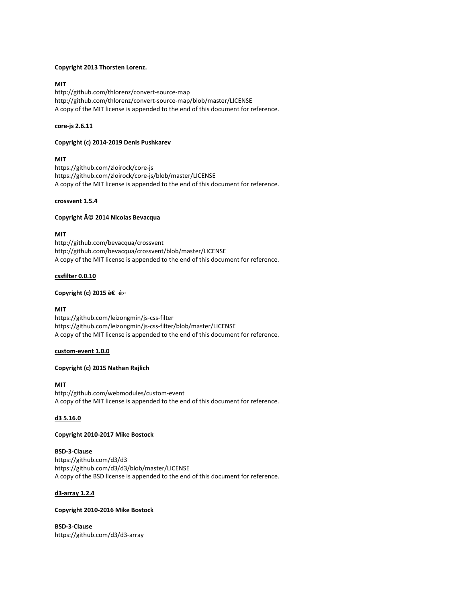## Copyright 2013 Thorsten Lorenz.

# MIT

http://github.com/thlorenz/convert-source-map http://github.com/thlorenz/convert-source-map/blob/master/LICENSE A copy of the MIT license is appended to the end of this document for reference.

# core-js 2.6.11

# Copyright (c) 2014-2019 Denis Pushkarev

# MIT

https://github.com/zloirock/core-js https://github.com/zloirock/core-js/blob/master/LICENSE A copy of the MIT license is appended to the end of this document for reference.

# crossvent 1.5.4

# Copyright © 2014 Nicolas Bevacqua

# MIT

http://github.com/bevacqua/crossvent http://github.com/bevacqua/crossvent/blob/master/LICENSE A copy of the MIT license is appended to the end of this document for reference.

## cssfilter 0.0.10

# Copyright (c) 2015 è€ é›·

# MIT

https://github.com/leizongmin/js-css-filter https://github.com/leizongmin/js-css-filter/blob/master/LICENSE A copy of the MIT license is appended to the end of this document for reference.

## custom-event 1.0.0

# Copyright (c) 2015 Nathan Rajlich

## MIT

http://github.com/webmodules/custom-event A copy of the MIT license is appended to the end of this document for reference.

# d3 5.16.0

# Copyright 2010-2017 Mike Bostock

BSD-3-Clause https://github.com/d3/d3 https://github.com/d3/d3/blob/master/LICENSE A copy of the BSD license is appended to the end of this document for reference.

# d3-array 1.2.4

# Copyright 2010-2016 Mike Bostock

BSD-3-Clause https://github.com/d3/d3-array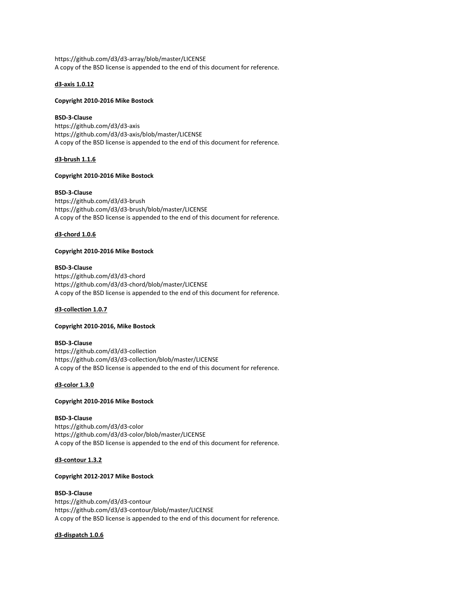https://github.com/d3/d3-array/blob/master/LICENSE A copy of the BSD license is appended to the end of this document for reference.

## d3-axis 1.0.12

## Copyright 2010-2016 Mike Bostock

## BSD-3-Clause

https://github.com/d3/d3-axis https://github.com/d3/d3-axis/blob/master/LICENSE A copy of the BSD license is appended to the end of this document for reference.

## d3-brush 1.1.6

# Copyright 2010-2016 Mike Bostock

#### BSD-3-Clause

https://github.com/d3/d3-brush https://github.com/d3/d3-brush/blob/master/LICENSE A copy of the BSD license is appended to the end of this document for reference.

## d3-chord 1.0.6

# Copyright 2010-2016 Mike Bostock

#### BSD-3-Clause

https://github.com/d3/d3-chord https://github.com/d3/d3-chord/blob/master/LICENSE A copy of the BSD license is appended to the end of this document for reference.

# d3-collection 1.0.7

## Copyright 2010-2016, Mike Bostock

#### BSD-3-Clause

https://github.com/d3/d3-collection https://github.com/d3/d3-collection/blob/master/LICENSE A copy of the BSD license is appended to the end of this document for reference.

## d3-color 1.3.0

## Copyright 2010-2016 Mike Bostock

## BSD-3-Clause

https://github.com/d3/d3-color https://github.com/d3/d3-color/blob/master/LICENSE A copy of the BSD license is appended to the end of this document for reference.

## d3-contour 1.3.2

## Copyright 2012-2017 Mike Bostock

#### BSD-3-Clause

https://github.com/d3/d3-contour https://github.com/d3/d3-contour/blob/master/LICENSE A copy of the BSD license is appended to the end of this document for reference.

# d3-dispatch 1.0.6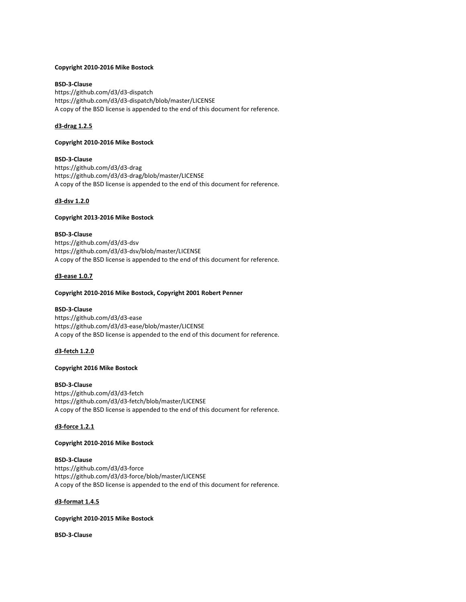## Copyright 2010-2016 Mike Bostock

# BSD-3-Clause

https://github.com/d3/d3-dispatch https://github.com/d3/d3-dispatch/blob/master/LICENSE A copy of the BSD license is appended to the end of this document for reference.

# d3-drag 1.2.5

## Copyright 2010-2016 Mike Bostock

# BSD-3-Clause

https://github.com/d3/d3-drag https://github.com/d3/d3-drag/blob/master/LICENSE A copy of the BSD license is appended to the end of this document for reference.

# d3-dsv 1.2.0

# Copyright 2013-2016 Mike Bostock

BSD-3-Clause https://github.com/d3/d3-dsv https://github.com/d3/d3-dsv/blob/master/LICENSE A copy of the BSD license is appended to the end of this document for reference.

# d3-ease 1.0.7

# Copyright 2010-2016 Mike Bostock, Copyright 2001 Robert Penner

## BSD-3-Clause

https://github.com/d3/d3-ease https://github.com/d3/d3-ease/blob/master/LICENSE A copy of the BSD license is appended to the end of this document for reference.

## d3-fetch 1.2.0

# Copyright 2016 Mike Bostock

## BSD-3-Clause

https://github.com/d3/d3-fetch https://github.com/d3/d3-fetch/blob/master/LICENSE A copy of the BSD license is appended to the end of this document for reference.

## d3-force 1.2.1

# Copyright 2010-2016 Mike Bostock

# BSD-3-Clause

https://github.com/d3/d3-force https://github.com/d3/d3-force/blob/master/LICENSE A copy of the BSD license is appended to the end of this document for reference.

# d3-format 1.4.5

# Copyright 2010-2015 Mike Bostock

BSD-3-Clause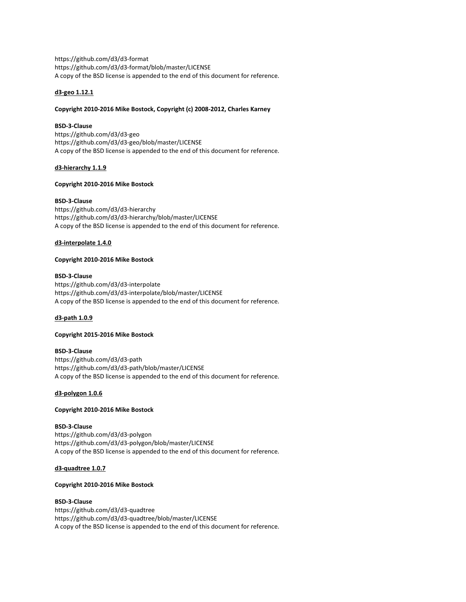https://github.com/d3/d3-format https://github.com/d3/d3-format/blob/master/LICENSE A copy of the BSD license is appended to the end of this document for reference.

# d3-geo 1.12.1

# Copyright 2010-2016 Mike Bostock, Copyright (c) 2008-2012, Charles Karney

# BSD-3-Clause

https://github.com/d3/d3-geo https://github.com/d3/d3-geo/blob/master/LICENSE A copy of the BSD license is appended to the end of this document for reference.

# d3-hierarchy 1.1.9

# Copyright 2010-2016 Mike Bostock

# BSD-3-Clause

https://github.com/d3/d3-hierarchy https://github.com/d3/d3-hierarchy/blob/master/LICENSE A copy of the BSD license is appended to the end of this document for reference.

# d3-interpolate 1.4.0

# Copyright 2010-2016 Mike Bostock

# BSD-3-Clause

https://github.com/d3/d3-interpolate https://github.com/d3/d3-interpolate/blob/master/LICENSE A copy of the BSD license is appended to the end of this document for reference.

# d3-path 1.0.9

# Copyright 2015-2016 Mike Bostock

# BSD-3-Clause

https://github.com/d3/d3-path https://github.com/d3/d3-path/blob/master/LICENSE A copy of the BSD license is appended to the end of this document for reference.

# d3-polygon 1.0.6

# Copyright 2010-2016 Mike Bostock

# BSD-3-Clause

https://github.com/d3/d3-polygon https://github.com/d3/d3-polygon/blob/master/LICENSE A copy of the BSD license is appended to the end of this document for reference.

# d3-quadtree 1.0.7

# Copyright 2010-2016 Mike Bostock

# BSD-3-Clause

https://github.com/d3/d3-quadtree https://github.com/d3/d3-quadtree/blob/master/LICENSE A copy of the BSD license is appended to the end of this document for reference.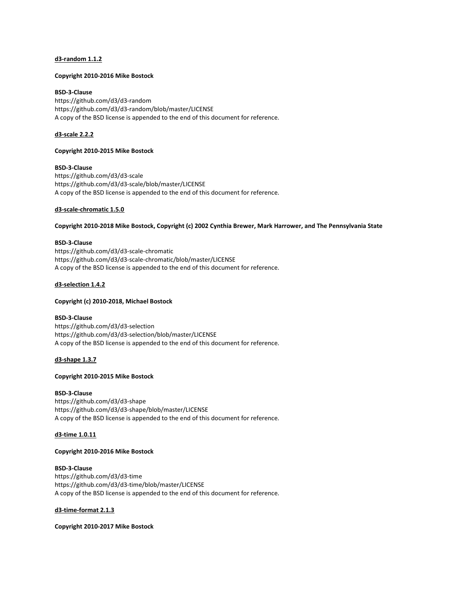## d3-random 1.1.2

## Copyright 2010-2016 Mike Bostock

BSD-3-Clause https://github.com/d3/d3-random https://github.com/d3/d3-random/blob/master/LICENSE A copy of the BSD license is appended to the end of this document for reference.

# d3-scale 2.2.2

## Copyright 2010-2015 Mike Bostock

BSD-3-Clause https://github.com/d3/d3-scale https://github.com/d3/d3-scale/blob/master/LICENSE A copy of the BSD license is appended to the end of this document for reference.

## d3-scale-chromatic 1.5.0

Copyright 2010-2018 Mike Bostock, Copyright (c) 2002 Cynthia Brewer, Mark Harrower, and The Pennsylvania State

## BSD-3-Clause

https://github.com/d3/d3-scale-chromatic https://github.com/d3/d3-scale-chromatic/blob/master/LICENSE A copy of the BSD license is appended to the end of this document for reference.

## d3-selection 1.4.2

## Copyright (c) 2010-2018, Michael Bostock

## BSD-3-Clause

https://github.com/d3/d3-selection https://github.com/d3/d3-selection/blob/master/LICENSE A copy of the BSD license is appended to the end of this document for reference.

## d3-shape 1.3.7

## Copyright 2010-2015 Mike Bostock

## BSD-3-Clause

https://github.com/d3/d3-shape https://github.com/d3/d3-shape/blob/master/LICENSE A copy of the BSD license is appended to the end of this document for reference.

## d3-time 1.0.11

## Copyright 2010-2016 Mike Bostock

## BSD-3-Clause

https://github.com/d3/d3-time https://github.com/d3/d3-time/blob/master/LICENSE A copy of the BSD license is appended to the end of this document for reference.

## d3-time-format 2.1.3

Copyright 2010-2017 Mike Bostock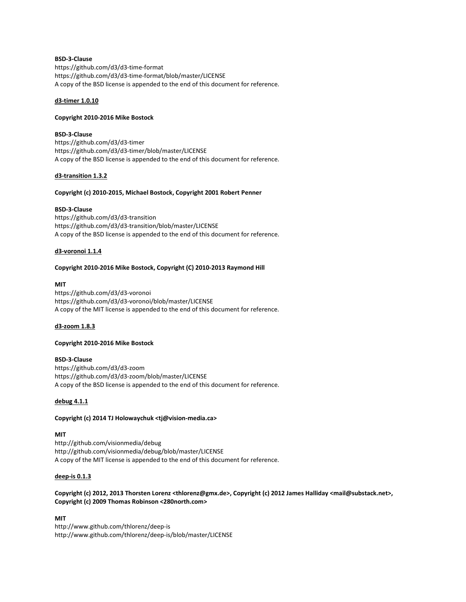# BSD-3-Clause

https://github.com/d3/d3-time-format https://github.com/d3/d3-time-format/blob/master/LICENSE A copy of the BSD license is appended to the end of this document for reference.

## d3-timer 1.0.10

# Copyright 2010-2016 Mike Bostock

## BSD-3-Clause

https://github.com/d3/d3-timer https://github.com/d3/d3-timer/blob/master/LICENSE A copy of the BSD license is appended to the end of this document for reference.

# d3-transition 1.3.2

# Copyright (c) 2010-2015, Michael Bostock, Copyright 2001 Robert Penner

# BSD-3-Clause

https://github.com/d3/d3-transition https://github.com/d3/d3-transition/blob/master/LICENSE A copy of the BSD license is appended to the end of this document for reference.

# d3-voronoi 1.1.4

# Copyright 2010-2016 Mike Bostock, Copyright (C) 2010-2013 Raymond Hill

## MIT

https://github.com/d3/d3-voronoi https://github.com/d3/d3-voronoi/blob/master/LICENSE A copy of the MIT license is appended to the end of this document for reference.

## d3-zoom 1.8.3

## Copyright 2010-2016 Mike Bostock

# BSD-3-Clause

https://github.com/d3/d3-zoom https://github.com/d3/d3-zoom/blob/master/LICENSE A copy of the BSD license is appended to the end of this document for reference.

## debug 4.1.1

# Copyright (c) 2014 TJ Holowaychuk <tj@vision-media.ca>

## MIT

http://github.com/visionmedia/debug http://github.com/visionmedia/debug/blob/master/LICENSE A copy of the MIT license is appended to the end of this document for reference.

## deep-is 0.1.3

# Copyright (c) 2012, 2013 Thorsten Lorenz <thlorenz@gmx.de>, Copyright (c) 2012 James Halliday <mail@substack.net>, Copyright (c) 2009 Thomas Robinson <280north.com>

# MIT

http://www.github.com/thlorenz/deep-is http://www.github.com/thlorenz/deep-is/blob/master/LICENSE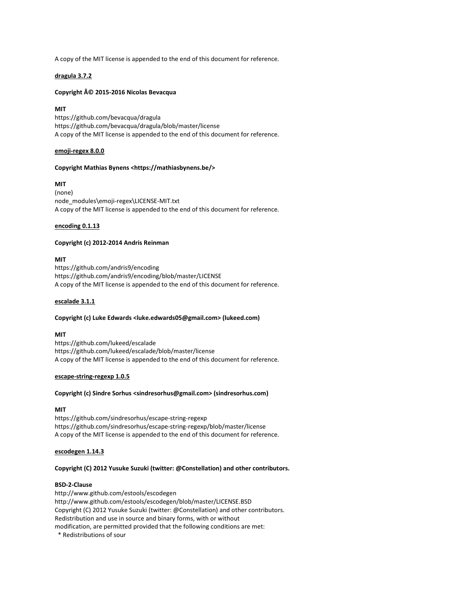A copy of the MIT license is appended to the end of this document for reference.

## dragula 3.7.2

# Copyright © 2015-2016 Nicolas Bevacqua

# MIT

https://github.com/bevacqua/dragula https://github.com/bevacqua/dragula/blob/master/license A copy of the MIT license is appended to the end of this document for reference.

## emoji-regex 8.0.0

## Copyright Mathias Bynens <https://mathiasbynens.be/>

# MIT

(none) node\_modules\emoji-regex\LICENSE-MIT.txt A copy of the MIT license is appended to the end of this document for reference.

# encoding 0.1.13

# Copyright (c) 2012-2014 Andris Reinman

# MIT

https://github.com/andris9/encoding https://github.com/andris9/encoding/blob/master/LICENSE A copy of the MIT license is appended to the end of this document for reference.

## escalade 3.1.1

## Copyright (c) Luke Edwards <luke.edwards05@gmail.com> (lukeed.com)

## MIT

https://github.com/lukeed/escalade https://github.com/lukeed/escalade/blob/master/license A copy of the MIT license is appended to the end of this document for reference.

## escape-string-regexp 1.0.5

## Copyright (c) Sindre Sorhus <sindresorhus@gmail.com> (sindresorhus.com)

## MIT

https://github.com/sindresorhus/escape-string-regexp https://github.com/sindresorhus/escape-string-regexp/blob/master/license A copy of the MIT license is appended to the end of this document for reference.

## escodegen 1.14.3

## Copyright (C) 2012 Yusuke Suzuki (twitter: @Constellation) and other contributors.

## BSD-2-Clause

http://www.github.com/estools/escodegen http://www.github.com/estools/escodegen/blob/master/LICENSE.BSD Copyright (C) 2012 Yusuke Suzuki (twitter: @Constellation) and other contributors. Redistribution and use in source and binary forms, with or without modification, are permitted provided that the following conditions are met:

\* Redistributions of sour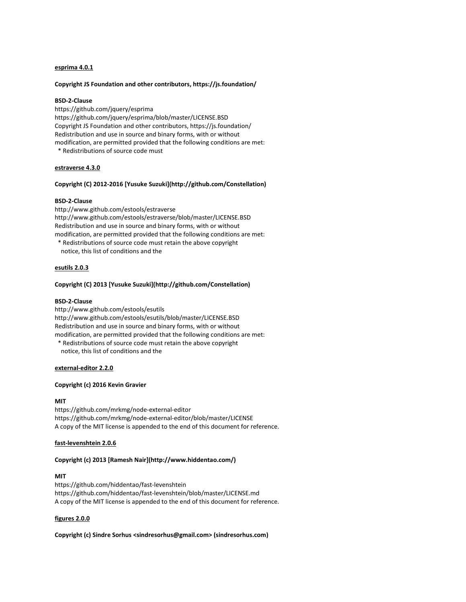# esprima 4.0.1

#### Copyright JS Foundation and other contributors, https://js.foundation/

## BSD-2-Clause

https://github.com/jquery/esprima https://github.com/jquery/esprima/blob/master/LICENSE.BSD Copyright JS Foundation and other contributors, https://js.foundation/ Redistribution and use in source and binary forms, with or without modification, are permitted provided that the following conditions are met: \* Redistributions of source code must

#### estraverse 4.3.0

#### Copyright (C) 2012-2016 [Yusuke Suzuki](http://github.com/Constellation)

# BSD-2-Clause

http://www.github.com/estools/estraverse http://www.github.com/estools/estraverse/blob/master/LICENSE.BSD Redistribution and use in source and binary forms, with or without modification, are permitted provided that the following conditions are met:

 \* Redistributions of source code must retain the above copyright notice, this list of conditions and the

## esutils 2.0.3

#### Copyright (C) 2013 [Yusuke Suzuki](http://github.com/Constellation)

#### BSD-2-Clause

http://www.github.com/estools/esutils http://www.github.com/estools/esutils/blob/master/LICENSE.BSD Redistribution and use in source and binary forms, with or without modification, are permitted provided that the following conditions are met:

 \* Redistributions of source code must retain the above copyright notice, this list of conditions and the

## external-editor 2.2.0

#### Copyright (c) 2016 Kevin Gravier

#### **MIT**

https://github.com/mrkmg/node-external-editor https://github.com/mrkmg/node-external-editor/blob/master/LICENSE A copy of the MIT license is appended to the end of this document for reference.

#### fast-levenshtein 2.0.6

# Copyright (c) 2013 [Ramesh Nair](http://www.hiddentao.com/)

## MIT

https://github.com/hiddentao/fast-levenshtein https://github.com/hiddentao/fast-levenshtein/blob/master/LICENSE.md A copy of the MIT license is appended to the end of this document for reference.

# figures 2.0.0

Copyright (c) Sindre Sorhus <sindresorhus@gmail.com> (sindresorhus.com)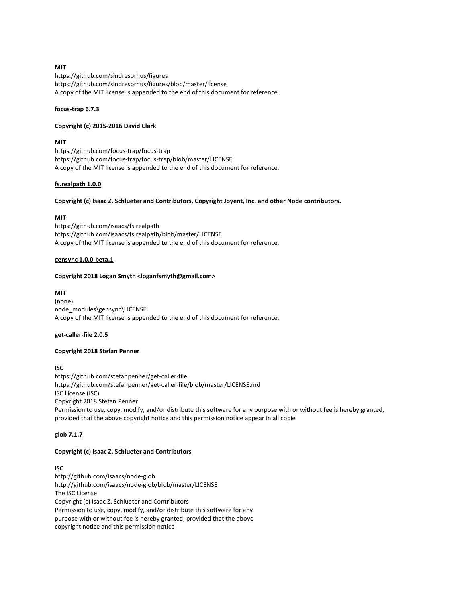# MIT

https://github.com/sindresorhus/figures https://github.com/sindresorhus/figures/blob/master/license A copy of the MIT license is appended to the end of this document for reference.

## focus-trap 6.7.3

## Copyright (c) 2015-2016 David Clark

# **MIT**

https://github.com/focus-trap/focus-trap https://github.com/focus-trap/focus-trap/blob/master/LICENSE A copy of the MIT license is appended to the end of this document for reference.

# fs.realpath 1.0.0

# Copyright (c) Isaac Z. Schlueter and Contributors, Copyright Joyent, Inc. and other Node contributors.

# MIT

https://github.com/isaacs/fs.realpath https://github.com/isaacs/fs.realpath/blob/master/LICENSE A copy of the MIT license is appended to the end of this document for reference.

## gensync 1.0.0-beta.1

## Copyright 2018 Logan Smyth <loganfsmyth@gmail.com>

# MIT

(none) node\_modules\gensync\LICENSE A copy of the MIT license is appended to the end of this document for reference.

## get-caller-file 2.0.5

# Copyright 2018 Stefan Penner

# ISC

https://github.com/stefanpenner/get-caller-file https://github.com/stefanpenner/get-caller-file/blob/master/LICENSE.md ISC License (ISC) Copyright 2018 Stefan Penner Permission to use, copy, modify, and/or distribute this software for any purpose with or without fee is hereby granted, provided that the above copyright notice and this permission notice appear in all copie

# glob 7.1.7

## Copyright (c) Isaac Z. Schlueter and Contributors

# ISC

http://github.com/isaacs/node-glob http://github.com/isaacs/node-glob/blob/master/LICENSE The ISC License Copyright (c) Isaac Z. Schlueter and Contributors Permission to use, copy, modify, and/or distribute this software for any purpose with or without fee is hereby granted, provided that the above copyright notice and this permission notice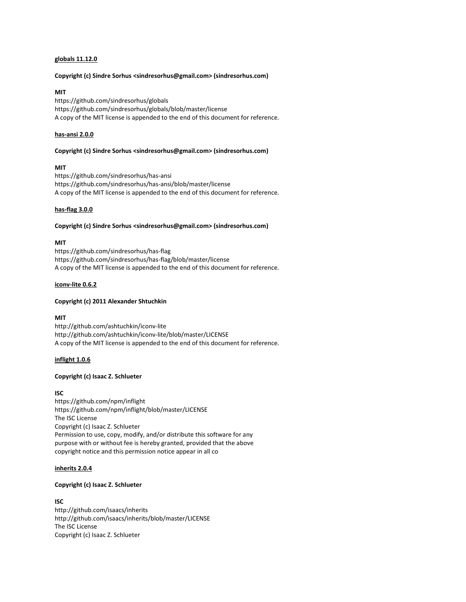## globals 11.12.0

#### Copyright (c) Sindre Sorhus <sindresorhus@gmail.com> (sindresorhus.com)

## MIT

https://github.com/sindresorhus/globals https://github.com/sindresorhus/globals/blob/master/license A copy of the MIT license is appended to the end of this document for reference.

## has-ansi 2.0.0

#### Copyright (c) Sindre Sorhus <sindresorhus@gmail.com> (sindresorhus.com)

# MIT

https://github.com/sindresorhus/has-ansi https://github.com/sindresorhus/has-ansi/blob/master/license A copy of the MIT license is appended to the end of this document for reference.

## has-flag 3.0.0

# Copyright (c) Sindre Sorhus <sindresorhus@gmail.com> (sindresorhus.com)

## MIT

https://github.com/sindresorhus/has-flag https://github.com/sindresorhus/has-flag/blob/master/license A copy of the MIT license is appended to the end of this document for reference.

## iconv-lite 0.6.2

## Copyright (c) 2011 Alexander Shtuchkin

# MIT

http://github.com/ashtuchkin/iconv-lite http://github.com/ashtuchkin/iconv-lite/blob/master/LICENSE A copy of the MIT license is appended to the end of this document for reference.

# inflight 1.0.6

# Copyright (c) Isaac Z. Schlueter

## ISC

https://github.com/npm/inflight https://github.com/npm/inflight/blob/master/LICENSE The ISC License Copyright (c) Isaac Z. Schlueter Permission to use, copy, modify, and/or distribute this software for any purpose with or without fee is hereby granted, provided that the above copyright notice and this permission notice appear in all co

## inherits 2.0.4

## Copyright (c) Isaac Z. Schlueter

## ISC

http://github.com/isaacs/inherits http://github.com/isaacs/inherits/blob/master/LICENSE The ISC License Copyright (c) Isaac Z. Schlueter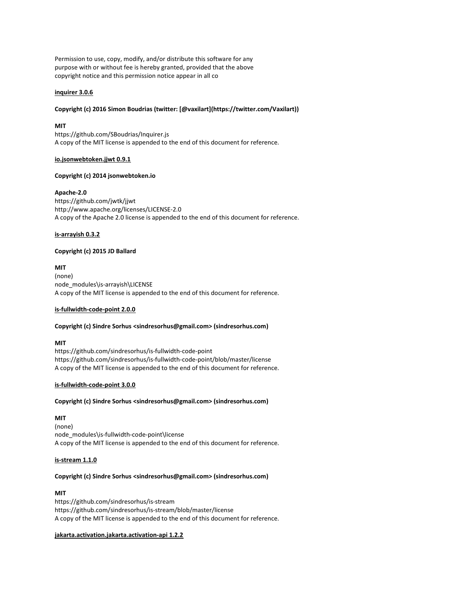Permission to use, copy, modify, and/or distribute this software for any purpose with or without fee is hereby granted, provided that the above copyright notice and this permission notice appear in all co

# inquirer 3.0.6

## Copyright (c) 2016 Simon Boudrias (twitter: [@vaxilart](https://twitter.com/Vaxilart))

## MIT

https://github.com/SBoudrias/Inquirer.js A copy of the MIT license is appended to the end of this document for reference.

## io.jsonwebtoken.jjwt 0.9.1

# Copyright (c) 2014 jsonwebtoken.io

# Apache-2.0

https://github.com/jwtk/jjwt http://www.apache.org/licenses/LICENSE-2.0 A copy of the Apache 2.0 license is appended to the end of this document for reference.

# is-arrayish 0.3.2

# Copyright (c) 2015 JD Ballard

# MIT

(none) node\_modules\is-arrayish\LICENSE A copy of the MIT license is appended to the end of this document for reference.

# is-fullwidth-code-point 2.0.0

## Copyright (c) Sindre Sorhus <sindresorhus@gmail.com> (sindresorhus.com)

# MIT

https://github.com/sindresorhus/is-fullwidth-code-point https://github.com/sindresorhus/is-fullwidth-code-point/blob/master/license A copy of the MIT license is appended to the end of this document for reference.

# is-fullwidth-code-point 3.0.0

## Copyright (c) Sindre Sorhus <sindresorhus@gmail.com> (sindresorhus.com)

# MIT

(none) node\_modules\is-fullwidth-code-point\license A copy of the MIT license is appended to the end of this document for reference.

## is-stream 1.1.0

# Copyright (c) Sindre Sorhus <sindresorhus@gmail.com> (sindresorhus.com)

## MIT

https://github.com/sindresorhus/is-stream https://github.com/sindresorhus/is-stream/blob/master/license A copy of the MIT license is appended to the end of this document for reference.

## jakarta.activation.jakarta.activation-api 1.2.2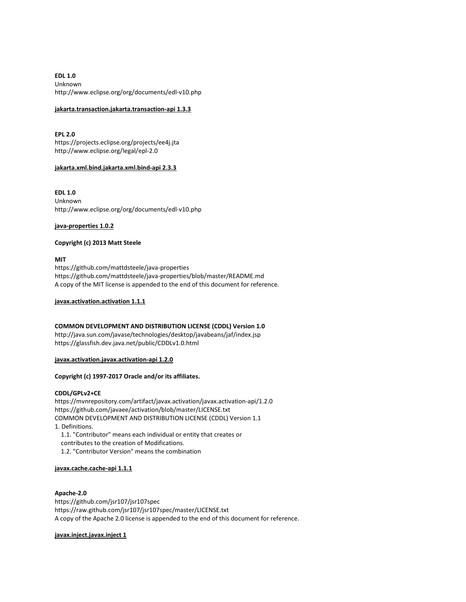EDL 1.0 Unknown http://www.eclipse.org/org/documents/edl-v10.php

# jakarta.transaction.jakarta.transaction-api 1.3.3

EPL 2.0 https://projects.eclipse.org/projects/ee4j.jta http://www.eclipse.org/legal/epl-2.0

# jakarta.xml.bind.jakarta.xml.bind-api 2.3.3

EDL 1.0 Unknown http://www.eclipse.org/org/documents/edl-v10.php

## java-properties 1.0.2

# Copyright (c) 2013 Matt Steele

MIT

https://github.com/mattdsteele/java-properties https://github.com/mattdsteele/java-properties/blob/master/README.md A copy of the MIT license is appended to the end of this document for reference.

javax.activation.activation 1.1.1

# COMMON DEVELOPMENT AND DISTRIBUTION LICENSE (CDDL) Version 1.0

http://java.sun.com/javase/technologies/desktop/javabeans/jaf/index.jsp https://glassfish.dev.java.net/public/CDDLv1.0.html

javax.activation.javax.activation-api 1.2.0

# Copyright (c) 1997-2017 Oracle and/or its affiliates.

## CDDL/GPLv2+CE

https://mvnrepository.com/artifact/javax.activation/javax.activation-api/1.2.0 https://github.com/javaee/activation/blob/master/LICENSE.txt COMMON DEVELOPMENT AND DISTRIBUTION LICENSE (CDDL) Version 1.1 1. Definitions. 1.1. "Contributor" means each individual or entity that creates or

 contributes to the creation of Modifications. 1.2. "Contributor Version" means the combination

# javax.cache.cache-api 1.1.1

## Apache-2.0

https://github.com/jsr107/jsr107spec https://raw.github.com/jsr107/jsr107spec/master/LICENSE.txt A copy of the Apache 2.0 license is appended to the end of this document for reference.

# javax.inject.javax.inject 1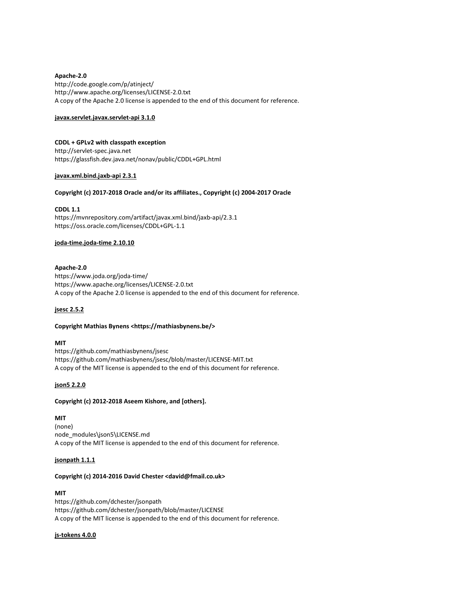# Apache-2.0

http://code.google.com/p/atinject/ http://www.apache.org/licenses/LICENSE-2.0.txt A copy of the Apache 2.0 license is appended to the end of this document for reference.

## javax.servlet.javax.servlet-api 3.1.0

# CDDL + GPLv2 with classpath exception

http://servlet-spec.java.net https://glassfish.dev.java.net/nonav/public/CDDL+GPL.html

# javax.xml.bind.jaxb-api 2.3.1

# Copyright (c) 2017-2018 Oracle and/or its affiliates., Copyright (c) 2004-2017 Oracle

# CDDL 1.1

https://mvnrepository.com/artifact/javax.xml.bind/jaxb-api/2.3.1 https://oss.oracle.com/licenses/CDDL+GPL-1.1

# joda-time.joda-time 2.10.10

# Apache-2.0

https://www.joda.org/joda-time/ https://www.apache.org/licenses/LICENSE-2.0.txt A copy of the Apache 2.0 license is appended to the end of this document for reference.

# jsesc 2.5.2

## Copyright Mathias Bynens <https://mathiasbynens.be/>

# MIT

https://github.com/mathiasbynens/jsesc https://github.com/mathiasbynens/jsesc/blob/master/LICENSE-MIT.txt A copy of the MIT license is appended to the end of this document for reference.

# json5 2.2.0

## Copyright (c) 2012-2018 Aseem Kishore, and [others].

# MIT

(none) node\_modules\json5\LICENSE.md A copy of the MIT license is appended to the end of this document for reference.

## jsonpath 1.1.1

# Copyright (c) 2014-2016 David Chester <david@fmail.co.uk>

## MIT

https://github.com/dchester/jsonpath https://github.com/dchester/jsonpath/blob/master/LICENSE A copy of the MIT license is appended to the end of this document for reference.

## js-tokens 4.0.0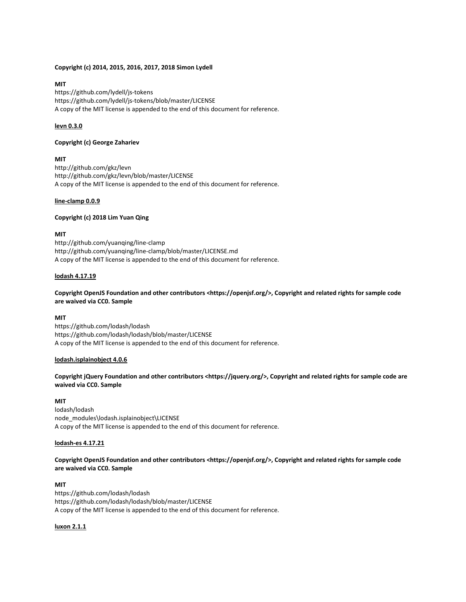## Copyright (c) 2014, 2015, 2016, 2017, 2018 Simon Lydell

# MIT

https://github.com/lydell/js-tokens https://github.com/lydell/js-tokens/blob/master/LICENSE A copy of the MIT license is appended to the end of this document for reference.

# levn 0.3.0

# Copyright (c) George Zahariev

# MIT

http://github.com/gkz/levn http://github.com/gkz/levn/blob/master/LICENSE A copy of the MIT license is appended to the end of this document for reference.

# line-clamp 0.0.9

# Copyright (c) 2018 Lim Yuan Qing

# MIT

http://github.com/yuanqing/line-clamp http://github.com/yuanqing/line-clamp/blob/master/LICENSE.md A copy of the MIT license is appended to the end of this document for reference.

# lodash 4.17.19

## Copyright OpenJS Foundation and other contributors <https://openjsf.org/>, Copyright and related rights for sample code are waived via CC0. Sample

# MIT

https://github.com/lodash/lodash https://github.com/lodash/lodash/blob/master/LICENSE A copy of the MIT license is appended to the end of this document for reference.

## lodash.isplainobject 4.0.6

Copyright jQuery Foundation and other contributors <https://jquery.org/>, Copyright and related rights for sample code are waived via CC0. Sample

# MIT

lodash/lodash node\_modules\lodash.isplainobject\LICENSE A copy of the MIT license is appended to the end of this document for reference.

## lodash-es 4.17.21

Copyright OpenJS Foundation and other contributors <https://openjsf.org/>, Copyright and related rights for sample code are waived via CC0. Sample

# MIT

https://github.com/lodash/lodash https://github.com/lodash/lodash/blob/master/LICENSE A copy of the MIT license is appended to the end of this document for reference.

## luxon 2.1.1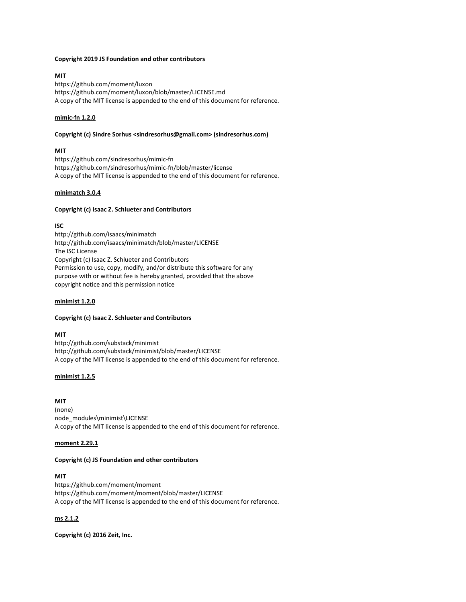# Copyright 2019 JS Foundation and other contributors

MIT https://github.com/moment/luxon https://github.com/moment/luxon/blob/master/LICENSE.md A copy of the MIT license is appended to the end of this document for reference.

# mimic-fn 1.2.0

# Copyright (c) Sindre Sorhus <sindresorhus@gmail.com> (sindresorhus.com)

# MIT

https://github.com/sindresorhus/mimic-fn https://github.com/sindresorhus/mimic-fn/blob/master/license A copy of the MIT license is appended to the end of this document for reference.

# minimatch 3.0.4

# Copyright (c) Isaac Z. Schlueter and Contributors

# ISC

http://github.com/isaacs/minimatch http://github.com/isaacs/minimatch/blob/master/LICENSE The ISC License Copyright (c) Isaac Z. Schlueter and Contributors Permission to use, copy, modify, and/or distribute this software for any purpose with or without fee is hereby granted, provided that the above copyright notice and this permission notice

# minimist 1.2.0

## Copyright (c) Isaac Z. Schlueter and Contributors

## MIT

http://github.com/substack/minimist http://github.com/substack/minimist/blob/master/LICENSE A copy of the MIT license is appended to the end of this document for reference.

# minimist 1.2.5

MIT (none) node\_modules\minimist\LICENSE A copy of the MIT license is appended to the end of this document for reference.

## moment 2.29.1

# Copyright (c) JS Foundation and other contributors

# MIT

https://github.com/moment/moment https://github.com/moment/moment/blob/master/LICENSE A copy of the MIT license is appended to the end of this document for reference.

# ms 2.1.2

Copyright (c) 2016 Zeit, Inc.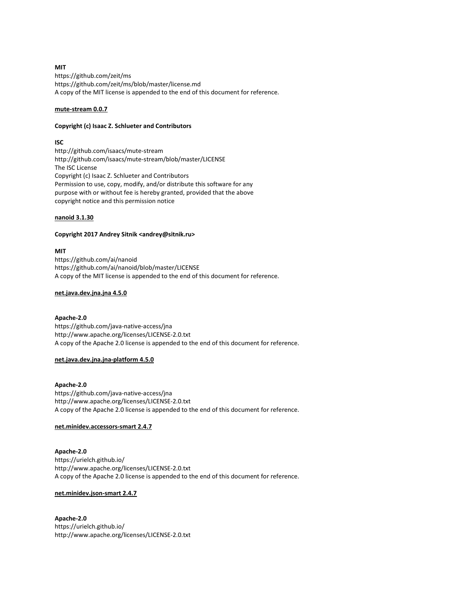# MIT

https://github.com/zeit/ms https://github.com/zeit/ms/blob/master/license.md A copy of the MIT license is appended to the end of this document for reference.

## mute-stream 0.0.7

## Copyright (c) Isaac Z. Schlueter and Contributors

# ISC

http://github.com/isaacs/mute-stream http://github.com/isaacs/mute-stream/blob/master/LICENSE The ISC License Copyright (c) Isaac Z. Schlueter and Contributors Permission to use, copy, modify, and/or distribute this software for any purpose with or without fee is hereby granted, provided that the above copyright notice and this permission notice

## nanoid 3.1.30

## Copyright 2017 Andrey Sitnik <andrey@sitnik.ru>

## MIT

https://github.com/ai/nanoid https://github.com/ai/nanoid/blob/master/LICENSE A copy of the MIT license is appended to the end of this document for reference.

## net.java.dev.jna.jna 4.5.0

## Apache-2.0

https://github.com/java-native-access/jna http://www.apache.org/licenses/LICENSE-2.0.txt A copy of the Apache 2.0 license is appended to the end of this document for reference.

## net.java.dev.jna.jna-platform 4.5.0

## Apache-2.0

https://github.com/java-native-access/jna http://www.apache.org/licenses/LICENSE-2.0.txt A copy of the Apache 2.0 license is appended to the end of this document for reference.

# net.minidev.accessors-smart 2.4.7

# Apache-2.0 https://urielch.github.io/ http://www.apache.org/licenses/LICENSE-2.0.txt A copy of the Apache 2.0 license is appended to the end of this document for reference.

## net.minidev.json-smart 2.4.7

# Apache-2.0 https://urielch.github.io/ http://www.apache.org/licenses/LICENSE-2.0.txt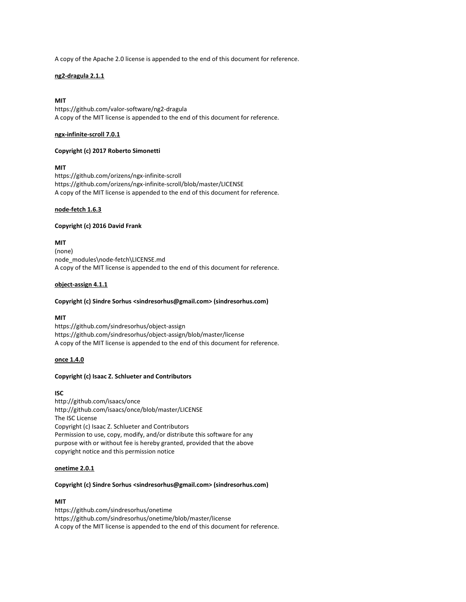A copy of the Apache 2.0 license is appended to the end of this document for reference.

# ng2-dragula 2.1.1

# MIT

https://github.com/valor-software/ng2-dragula A copy of the MIT license is appended to the end of this document for reference.

## ngx-infinite-scroll 7.0.1

## Copyright (c) 2017 Roberto Simonetti

# MIT

https://github.com/orizens/ngx-infinite-scroll https://github.com/orizens/ngx-infinite-scroll/blob/master/LICENSE A copy of the MIT license is appended to the end of this document for reference.

## node-fetch 1.6.3

## Copyright (c) 2016 David Frank

MIT (none) node\_modules\node-fetch\LICENSE.md A copy of the MIT license is appended to the end of this document for reference.

# object-assign 4.1.1

## Copyright (c) Sindre Sorhus <sindresorhus@gmail.com> (sindresorhus.com)

# MIT

https://github.com/sindresorhus/object-assign https://github.com/sindresorhus/object-assign/blob/master/license A copy of the MIT license is appended to the end of this document for reference.

# once 1.4.0

## Copyright (c) Isaac Z. Schlueter and Contributors

# ISC

http://github.com/isaacs/once http://github.com/isaacs/once/blob/master/LICENSE The ISC License Copyright (c) Isaac Z. Schlueter and Contributors Permission to use, copy, modify, and/or distribute this software for any purpose with or without fee is hereby granted, provided that the above copyright notice and this permission notice

# onetime 2.0.1

## Copyright (c) Sindre Sorhus <sindresorhus@gmail.com> (sindresorhus.com)

# MIT

https://github.com/sindresorhus/onetime https://github.com/sindresorhus/onetime/blob/master/license A copy of the MIT license is appended to the end of this document for reference.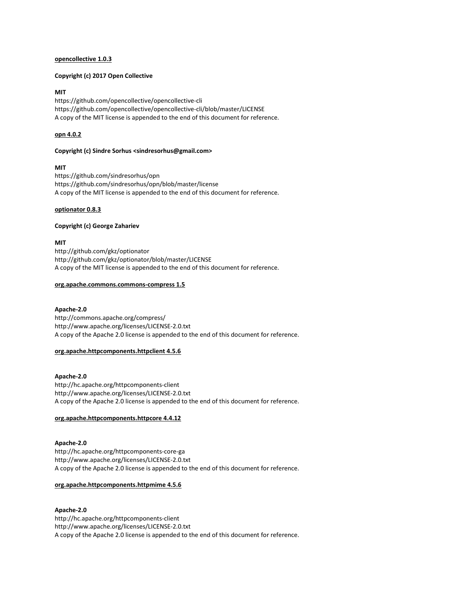#### opencollective 1.0.3

## Copyright (c) 2017 Open Collective

## MIT

https://github.com/opencollective/opencollective-cli https://github.com/opencollective/opencollective-cli/blob/master/LICENSE A copy of the MIT license is appended to the end of this document for reference.

## opn 4.0.2

#### Copyright (c) Sindre Sorhus <sindresorhus@gmail.com>

## MIT

https://github.com/sindresorhus/opn https://github.com/sindresorhus/opn/blob/master/license A copy of the MIT license is appended to the end of this document for reference.

#### optionator 0.8.3

## Copyright (c) George Zahariev

## MIT

http://github.com/gkz/optionator http://github.com/gkz/optionator/blob/master/LICENSE A copy of the MIT license is appended to the end of this document for reference.

## org.apache.commons.commons-compress 1.5

## Apache-2.0

http://commons.apache.org/compress/ http://www.apache.org/licenses/LICENSE-2.0.txt A copy of the Apache 2.0 license is appended to the end of this document for reference.

## org.apache.httpcomponents.httpclient 4.5.6

Apache-2.0 http://hc.apache.org/httpcomponents-client http://www.apache.org/licenses/LICENSE-2.0.txt A copy of the Apache 2.0 license is appended to the end of this document for reference.

## org.apache.httpcomponents.httpcore 4.4.12

# Apache-2.0 http://hc.apache.org/httpcomponents-core-ga http://www.apache.org/licenses/LICENSE-2.0.txt A copy of the Apache 2.0 license is appended to the end of this document for reference.

## org.apache.httpcomponents.httpmime 4.5.6

# Apache-2.0

http://hc.apache.org/httpcomponents-client http://www.apache.org/licenses/LICENSE-2.0.txt A copy of the Apache 2.0 license is appended to the end of this document for reference.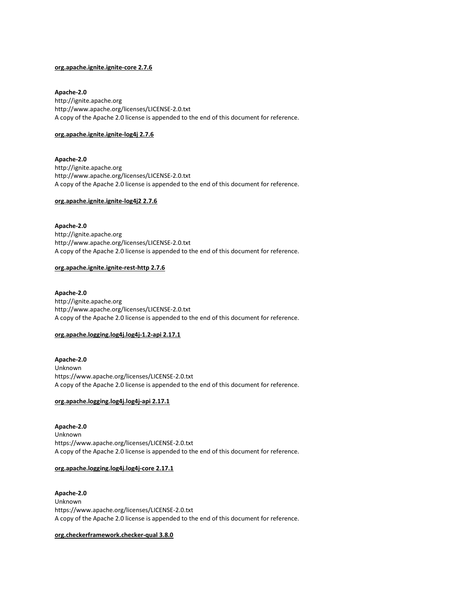# org.apache.ignite.ignite-core 2.7.6

Apache-2.0 http://ignite.apache.org http://www.apache.org/licenses/LICENSE-2.0.txt A copy of the Apache 2.0 license is appended to the end of this document for reference.

# org.apache.ignite.ignite-log4j 2.7.6

Apache-2.0 http://ignite.apache.org http://www.apache.org/licenses/LICENSE-2.0.txt A copy of the Apache 2.0 license is appended to the end of this document for reference.

# org.apache.ignite.ignite-log4j2 2.7.6

Apache-2.0 http://ignite.apache.org http://www.apache.org/licenses/LICENSE-2.0.txt A copy of the Apache 2.0 license is appended to the end of this document for reference.

# org.apache.ignite.ignite-rest-http 2.7.6

Apache-2.0 http://ignite.apache.org http://www.apache.org/licenses/LICENSE-2.0.txt A copy of the Apache 2.0 license is appended to the end of this document for reference.

## org.apache.logging.log4j.log4j-1.2-api 2.17.1

Apache-2.0 Unknown https://www.apache.org/licenses/LICENSE-2.0.txt A copy of the Apache 2.0 license is appended to the end of this document for reference.

# org.apache.logging.log4j.log4j-api 2.17.1

Apache-2.0 Unknown https://www.apache.org/licenses/LICENSE-2.0.txt A copy of the Apache 2.0 license is appended to the end of this document for reference.

# org.apache.logging.log4j.log4j-core 2.17.1

Apache-2.0 Unknown https://www.apache.org/licenses/LICENSE-2.0.txt A copy of the Apache 2.0 license is appended to the end of this document for reference.

org.checkerframework.checker-qual 3.8.0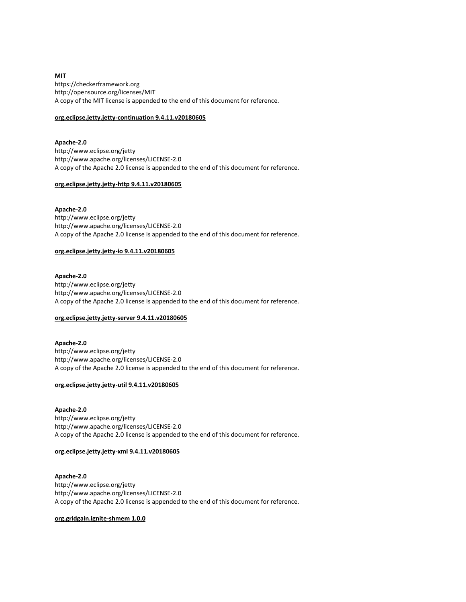MIT https://checkerframework.org http://opensource.org/licenses/MIT A copy of the MIT license is appended to the end of this document for reference.

# org.eclipse.jetty.jetty-continuation 9.4.11.v20180605

Apache-2.0 http://www.eclipse.org/jetty http://www.apache.org/licenses/LICENSE-2.0 A copy of the Apache 2.0 license is appended to the end of this document for reference.

## org.eclipse.jetty.jetty-http 9.4.11.v20180605

## Apache-2.0

http://www.eclipse.org/jetty http://www.apache.org/licenses/LICENSE-2.0 A copy of the Apache 2.0 license is appended to the end of this document for reference.

# org.eclipse.jetty.jetty-io 9.4.11.v20180605

Apache-2.0 http://www.eclipse.org/jetty http://www.apache.org/licenses/LICENSE-2.0 A copy of the Apache 2.0 license is appended to the end of this document for reference.

## org.eclipse.jetty.jetty-server 9.4.11.v20180605

Apache-2.0 http://www.eclipse.org/jetty http://www.apache.org/licenses/LICENSE-2.0 A copy of the Apache 2.0 license is appended to the end of this document for reference.

## org.eclipse.jetty.jetty-util 9.4.11.v20180605

Apache-2.0 http://www.eclipse.org/jetty http://www.apache.org/licenses/LICENSE-2.0 A copy of the Apache 2.0 license is appended to the end of this document for reference.

# org.eclipse.jetty.jetty-xml 9.4.11.v20180605

Apache-2.0 http://www.eclipse.org/jetty http://www.apache.org/licenses/LICENSE-2.0 A copy of the Apache 2.0 license is appended to the end of this document for reference.

# org.gridgain.ignite-shmem 1.0.0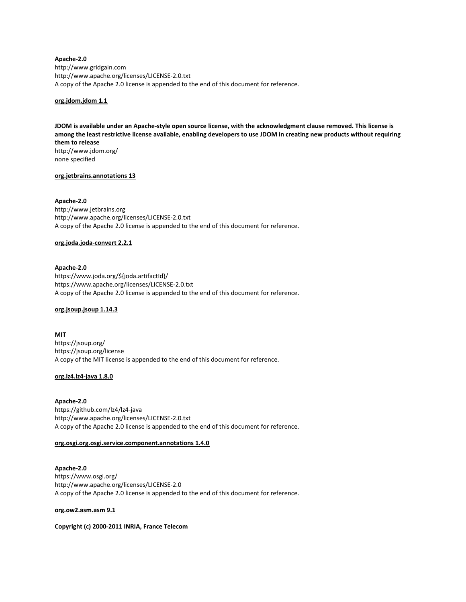Apache-2.0 http://www.gridgain.com http://www.apache.org/licenses/LICENSE-2.0.txt A copy of the Apache 2.0 license is appended to the end of this document for reference.

## org.jdom.jdom 1.1

JDOM is available under an Apache-style open source license, with the acknowledgment clause removed. This license is among the least restrictive license available, enabling developers to use JDOM in creating new products without requiring them to release http://www.jdom.org/

none specified

## org.jetbrains.annotations 13

# Apache-2.0

http://www.jetbrains.org http://www.apache.org/licenses/LICENSE-2.0.txt A copy of the Apache 2.0 license is appended to the end of this document for reference.

## org.joda.joda-convert 2.2.1

## Apache-2.0

https://www.joda.org/\${joda.artifactId}/ https://www.apache.org/licenses/LICENSE-2.0.txt A copy of the Apache 2.0 license is appended to the end of this document for reference.

#### org.jsoup.jsoup 1.14.3

MIT https://jsoup.org/ https://jsoup.org/license A copy of the MIT license is appended to the end of this document for reference.

## org.lz4.lz4-java 1.8.0

Apache-2.0 https://github.com/lz4/lz4-java http://www.apache.org/licenses/LICENSE-2.0.txt A copy of the Apache 2.0 license is appended to the end of this document for reference.

## org.osgi.org.osgi.service.component.annotations 1.4.0

Apache-2.0 https://www.osgi.org/ http://www.apache.org/licenses/LICENSE-2.0 A copy of the Apache 2.0 license is appended to the end of this document for reference.

#### org.ow2.asm.asm 9.1

Copyright (c) 2000-2011 INRIA, France Telecom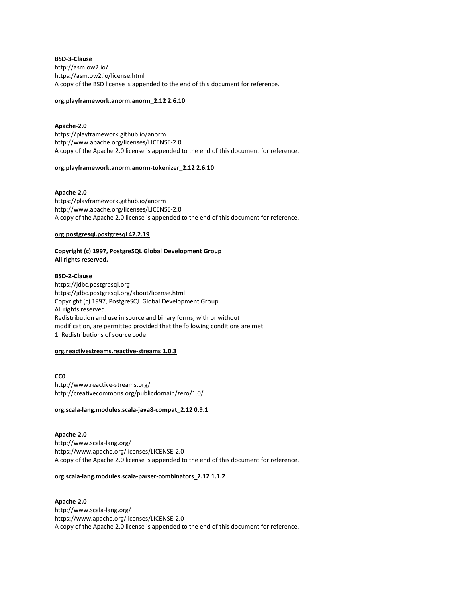BSD-3-Clause http://asm.ow2.io/ https://asm.ow2.io/license.html A copy of the BSD license is appended to the end of this document for reference.

# org.playframework.anorm.anorm\_2.12 2.6.10

#### Apache-2.0

https://playframework.github.io/anorm http://www.apache.org/licenses/LICENSE-2.0 A copy of the Apache 2.0 license is appended to the end of this document for reference.

#### org.playframework.anorm.anorm-tokenizer\_2.12 2.6.10

## Apache-2.0

https://playframework.github.io/anorm http://www.apache.org/licenses/LICENSE-2.0 A copy of the Apache 2.0 license is appended to the end of this document for reference.

## org.postgresql.postgresql 42.2.19

# Copyright (c) 1997, PostgreSQL Global Development Group All rights reserved.

# BSD-2-Clause

https://jdbc.postgresql.org https://jdbc.postgresql.org/about/license.html Copyright (c) 1997, PostgreSQL Global Development Group All rights reserved. Redistribution and use in source and binary forms, with or without modification, are permitted provided that the following conditions are met: 1. Redistributions of source code

#### org.reactivestreams.reactive-streams 1.0.3

C<sub>C0</sub> http://www.reactive-streams.org/ http://creativecommons.org/publicdomain/zero/1.0/

# org.scala-lang.modules.scala-java8-compat\_2.12 0.9.1

Apache-2.0 http://www.scala-lang.org/ https://www.apache.org/licenses/LICENSE-2.0 A copy of the Apache 2.0 license is appended to the end of this document for reference.

#### org.scala-lang.modules.scala-parser-combinators\_2.12 1.1.2

# Apache-2.0 http://www.scala-lang.org/ https://www.apache.org/licenses/LICENSE-2.0 A copy of the Apache 2.0 license is appended to the end of this document for reference.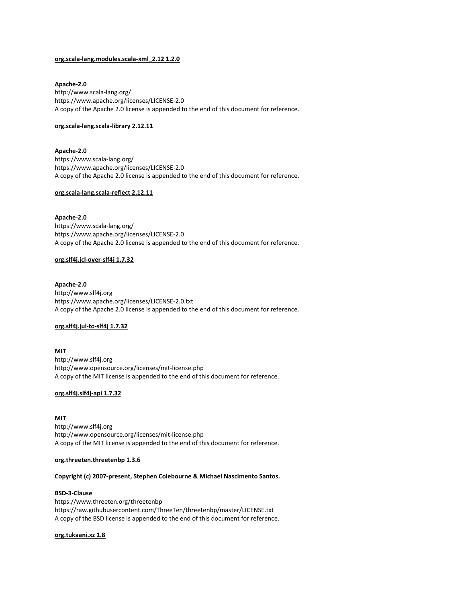## org.scala-lang.modules.scala-xml\_2.12 1.2.0

#### Apache-2.0

http://www.scala-lang.org/ https://www.apache.org/licenses/LICENSE-2.0 A copy of the Apache 2.0 license is appended to the end of this document for reference.

## org.scala-lang.scala-library 2.12.11

Apache-2.0 https://www.scala-lang.org/ https://www.apache.org/licenses/LICENSE-2.0 A copy of the Apache 2.0 license is appended to the end of this document for reference.

## org.scala-lang.scala-reflect 2.12.11

Apache-2.0 https://www.scala-lang.org/ https://www.apache.org/licenses/LICENSE-2.0 A copy of the Apache 2.0 license is appended to the end of this document for reference.

## org.slf4j.jcl-over-slf4j 1.7.32

#### Apache-2.0

http://www.slf4j.org https://www.apache.org/licenses/LICENSE-2.0.txt A copy of the Apache 2.0 license is appended to the end of this document for reference.

## org.slf4j.jul-to-slf4j 1.7.32

MIT http://www.slf4j.org http://www.opensource.org/licenses/mit-license.php A copy of the MIT license is appended to the end of this document for reference.

## org.slf4j.slf4j-api 1.7.32

# MIT http://www.slf4j.org http://www.opensource.org/licenses/mit-license.php A copy of the MIT license is appended to the end of this document for reference.

## org.threeten.threetenbp 1.3.6

## Copyright (c) 2007-present, Stephen Colebourne & Michael Nascimento Santos.

#### BSD-3-Clause

https://www.threeten.org/threetenbp https://raw.githubusercontent.com/ThreeTen/threetenbp/master/LICENSE.txt A copy of the BSD license is appended to the end of this document for reference.

#### org.tukaani.xz 1.8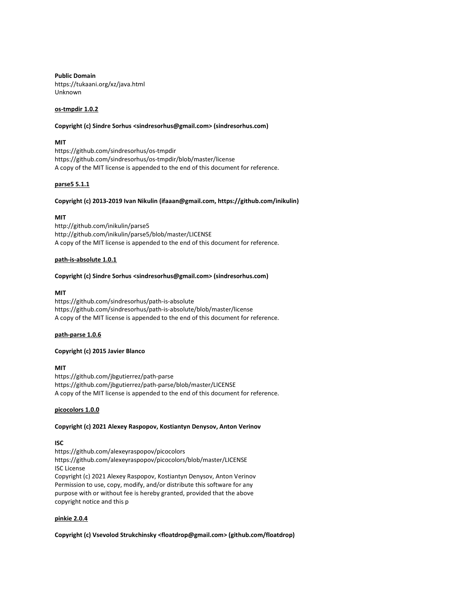Public Domain https://tukaani.org/xz/java.html Unknown

# os-tmpdir 1.0.2

#### Copyright (c) Sindre Sorhus <sindresorhus@gmail.com> (sindresorhus.com)

## **MIT**

https://github.com/sindresorhus/os-tmpdir https://github.com/sindresorhus/os-tmpdir/blob/master/license A copy of the MIT license is appended to the end of this document for reference.

## parse5 5.1.1

## Copyright (c) 2013-2019 Ivan Nikulin (ifaaan@gmail.com, https://github.com/inikulin)

# MIT

http://github.com/inikulin/parse5 http://github.com/inikulin/parse5/blob/master/LICENSE A copy of the MIT license is appended to the end of this document for reference.

## path-is-absolute 1.0.1

#### Copyright (c) Sindre Sorhus <sindresorhus@gmail.com> (sindresorhus.com)

## MIT

https://github.com/sindresorhus/path-is-absolute https://github.com/sindresorhus/path-is-absolute/blob/master/license A copy of the MIT license is appended to the end of this document for reference.

## path-parse 1.0.6

# Copyright (c) 2015 Javier Blanco

# MIT

https://github.com/jbgutierrez/path-parse https://github.com/jbgutierrez/path-parse/blob/master/LICENSE A copy of the MIT license is appended to the end of this document for reference.

## picocolors 1.0.0

## Copyright (c) 2021 Alexey Raspopov, Kostiantyn Denysov, Anton Verinov

## ISC

https://github.com/alexeyraspopov/picocolors https://github.com/alexeyraspopov/picocolors/blob/master/LICENSE ISC License Copyright (c) 2021 Alexey Raspopov, Kostiantyn Denysov, Anton Verinov Permission to use, copy, modify, and/or distribute this software for any purpose with or without fee is hereby granted, provided that the above copyright notice and this p

# pinkie 2.0.4

## Copyright (c) Vsevolod Strukchinsky <floatdrop@gmail.com> (github.com/floatdrop)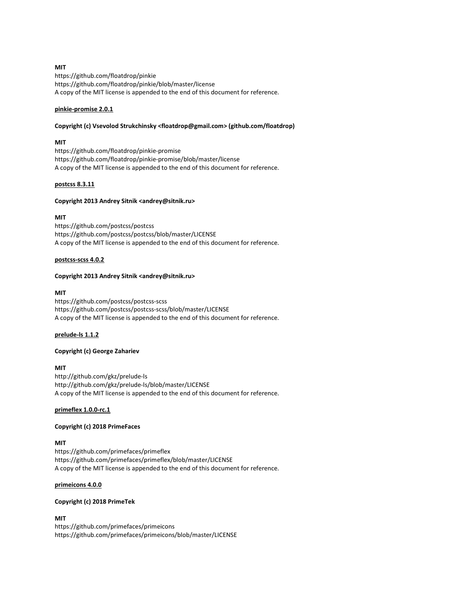# MIT

https://github.com/floatdrop/pinkie https://github.com/floatdrop/pinkie/blob/master/license A copy of the MIT license is appended to the end of this document for reference.

## pinkie-promise 2.0.1

## Copyright (c) Vsevolod Strukchinsky <floatdrop@gmail.com> (github.com/floatdrop)

## MIT

https://github.com/floatdrop/pinkie-promise https://github.com/floatdrop/pinkie-promise/blob/master/license A copy of the MIT license is appended to the end of this document for reference.

# postcss 8.3.11

## Copyright 2013 Andrey Sitnik <andrey@sitnik.ru>

# MIT

https://github.com/postcss/postcss https://github.com/postcss/postcss/blob/master/LICENSE A copy of the MIT license is appended to the end of this document for reference.

## postcss-scss 4.0.2

## Copyright 2013 Andrey Sitnik <andrey@sitnik.ru>

#### MIT

https://github.com/postcss/postcss-scss https://github.com/postcss/postcss-scss/blob/master/LICENSE A copy of the MIT license is appended to the end of this document for reference.

## prelude-ls 1.1.2

# Copyright (c) George Zahariev

# MIT

http://github.com/gkz/prelude-ls http://github.com/gkz/prelude-ls/blob/master/LICENSE A copy of the MIT license is appended to the end of this document for reference.

## primeflex 1.0.0-rc.1

## Copyright (c) 2018 PrimeFaces

## MIT

https://github.com/primefaces/primeflex https://github.com/primefaces/primeflex/blob/master/LICENSE A copy of the MIT license is appended to the end of this document for reference.

# primeicons 4.0.0

# Copyright (c) 2018 PrimeTek

# MIT

https://github.com/primefaces/primeicons https://github.com/primefaces/primeicons/blob/master/LICENSE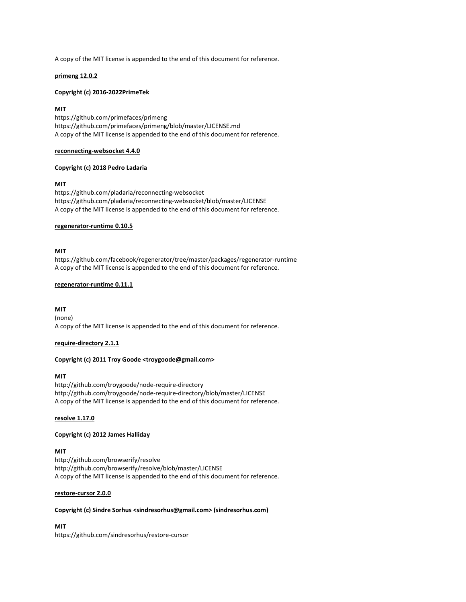A copy of the MIT license is appended to the end of this document for reference.

## primeng 12.0.2

## Copyright (c) 2016-2022PrimeTek

## MIT

https://github.com/primefaces/primeng https://github.com/primefaces/primeng/blob/master/LICENSE.md A copy of the MIT license is appended to the end of this document for reference.

#### reconnecting-websocket 4.4.0

# Copyright (c) 2018 Pedro Ladaria

## MIT

https://github.com/pladaria/reconnecting-websocket https://github.com/pladaria/reconnecting-websocket/blob/master/LICENSE A copy of the MIT license is appended to the end of this document for reference.

## regenerator-runtime 0.10.5

## MIT

https://github.com/facebook/regenerator/tree/master/packages/regenerator-runtime A copy of the MIT license is appended to the end of this document for reference.

## regenerator-runtime 0.11.1

## MIT

(none) A copy of the MIT license is appended to the end of this document for reference.

## require-directory 2.1.1

# Copyright (c) 2011 Troy Goode <troygoode@gmail.com>

## MIT

http://github.com/troygoode/node-require-directory http://github.com/troygoode/node-require-directory/blob/master/LICENSE A copy of the MIT license is appended to the end of this document for reference.

## resolve 1.17.0

## Copyright (c) 2012 James Halliday

# MIT

http://github.com/browserify/resolve http://github.com/browserify/resolve/blob/master/LICENSE A copy of the MIT license is appended to the end of this document for reference.

## restore-cursor 2.0.0

## Copyright (c) Sindre Sorhus <sindresorhus@gmail.com> (sindresorhus.com)

MIT https://github.com/sindresorhus/restore-cursor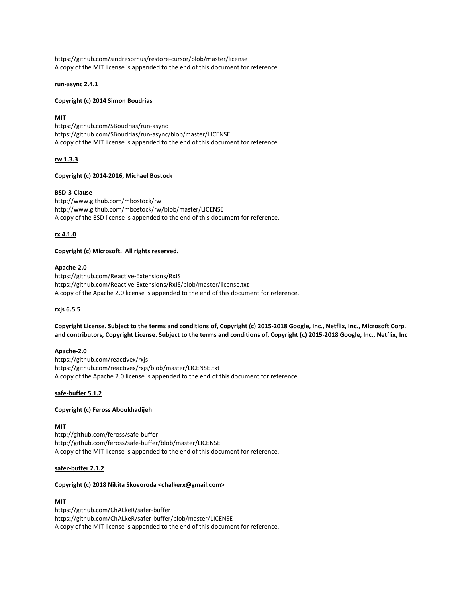https://github.com/sindresorhus/restore-cursor/blob/master/license A copy of the MIT license is appended to the end of this document for reference.

# run-async 2.4.1

## Copyright (c) 2014 Simon Boudrias

# **MIT**

https://github.com/SBoudrias/run-async https://github.com/SBoudrias/run-async/blob/master/LICENSE A copy of the MIT license is appended to the end of this document for reference.

# rw 1.3.3

# Copyright (c) 2014-2016, Michael Bostock

# BSD-3-Clause

http://www.github.com/mbostock/rw http://www.github.com/mbostock/rw/blob/master/LICENSE A copy of the BSD license is appended to the end of this document for reference.

# rx 4.1.0

# Copyright (c) Microsoft. All rights reserved.

## Apache-2.0

https://github.com/Reactive-Extensions/RxJS https://github.com/Reactive-Extensions/RxJS/blob/master/license.txt A copy of the Apache 2.0 license is appended to the end of this document for reference.

## rxjs 6.5.5

Copyright License. Subject to the terms and conditions of, Copyright (c) 2015-2018 Google, Inc., Netflix, Inc., Microsoft Corp. and contributors, Copyright License. Subject to the terms and conditions of, Copyright (c) 2015-2018 Google, Inc., Netflix, Inc

## Apache-2.0

https://github.com/reactivex/rxjs https://github.com/reactivex/rxjs/blob/master/LICENSE.txt A copy of the Apache 2.0 license is appended to the end of this document for reference.

## safe-buffer 5.1.2

# Copyright (c) Feross Aboukhadijeh

## MIT

http://github.com/feross/safe-buffer http://github.com/feross/safe-buffer/blob/master/LICENSE A copy of the MIT license is appended to the end of this document for reference.

## safer-buffer 2.1.2

## Copyright (c) 2018 Nikita Skovoroda <chalkerx@gmail.com>

## MIT

https://github.com/ChALkeR/safer-buffer https://github.com/ChALkeR/safer-buffer/blob/master/LICENSE A copy of the MIT license is appended to the end of this document for reference.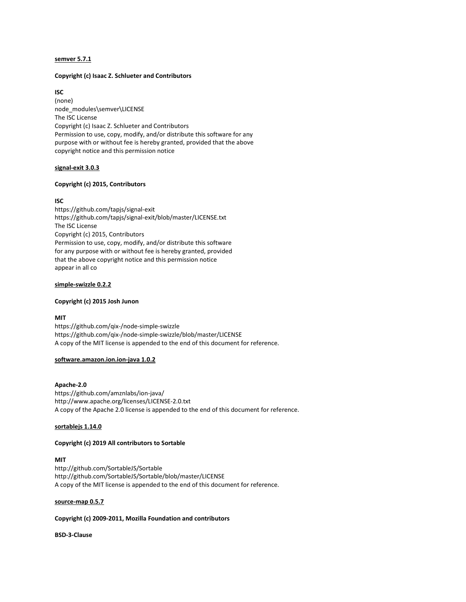## semver 5.7.1

## Copyright (c) Isaac Z. Schlueter and Contributors

## ISC

(none) node\_modules\semver\LICENSE The ISC License Copyright (c) Isaac Z. Schlueter and Contributors Permission to use, copy, modify, and/or distribute this software for any purpose with or without fee is hereby granted, provided that the above copyright notice and this permission notice

# signal-exit 3.0.3

# Copyright (c) 2015, Contributors

# ISC

https://github.com/tapjs/signal-exit https://github.com/tapjs/signal-exit/blob/master/LICENSE.txt The ISC License Copyright (c) 2015, Contributors Permission to use, copy, modify, and/or distribute this software for any purpose with or without fee is hereby granted, provided that the above copyright notice and this permission notice appear in all co

## simple-swizzle 0.2.2

## Copyright (c) 2015 Josh Junon

## MIT

https://github.com/qix-/node-simple-swizzle https://github.com/qix-/node-simple-swizzle/blob/master/LICENSE A copy of the MIT license is appended to the end of this document for reference.

## software.amazon.ion.ion-java 1.0.2

## Apache-2.0

https://github.com/amznlabs/ion-java/ http://www.apache.org/licenses/LICENSE-2.0.txt A copy of the Apache 2.0 license is appended to the end of this document for reference.

## sortablejs 1.14.0

## Copyright (c) 2019 All contributors to Sortable

# MIT

http://github.com/SortableJS/Sortable http://github.com/SortableJS/Sortable/blob/master/LICENSE A copy of the MIT license is appended to the end of this document for reference.

## source-map 0.5.7

## Copyright (c) 2009-2011, Mozilla Foundation and contributors

BSD-3-Clause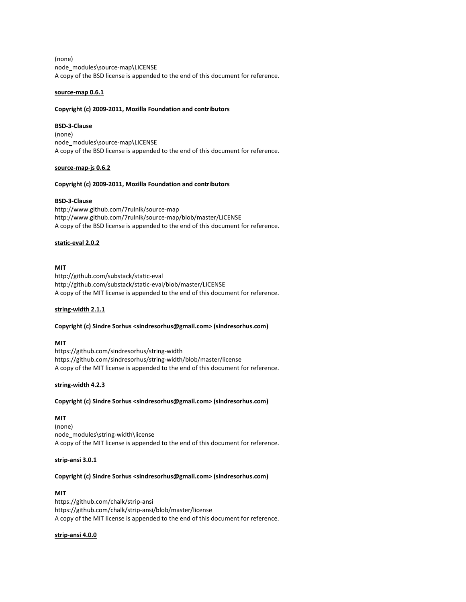(none) node\_modules\source-map\LICENSE A copy of the BSD license is appended to the end of this document for reference.

# source-map 0.6.1

## Copyright (c) 2009-2011, Mozilla Foundation and contributors

# BSD-3-Clause

(none) node\_modules\source-map\LICENSE A copy of the BSD license is appended to the end of this document for reference.

# source-map-js 0.6.2

# Copyright (c) 2009-2011, Mozilla Foundation and contributors

# BSD-3-Clause

http://www.github.com/7rulnik/source-map http://www.github.com/7rulnik/source-map/blob/master/LICENSE A copy of the BSD license is appended to the end of this document for reference.

# static-eval 2.0.2

# MIT

http://github.com/substack/static-eval http://github.com/substack/static-eval/blob/master/LICENSE A copy of the MIT license is appended to the end of this document for reference.

# string-width 2.1.1

# Copyright (c) Sindre Sorhus <sindresorhus@gmail.com> (sindresorhus.com)

## MIT

https://github.com/sindresorhus/string-width https://github.com/sindresorhus/string-width/blob/master/license A copy of the MIT license is appended to the end of this document for reference.

## string-width 4.2.3

## Copyright (c) Sindre Sorhus <sindresorhus@gmail.com> (sindresorhus.com)

# MIT

(none) node\_modules\string-width\license A copy of the MIT license is appended to the end of this document for reference.

## strip-ansi 3.0.1

## Copyright (c) Sindre Sorhus <sindresorhus@gmail.com> (sindresorhus.com)

## MIT

https://github.com/chalk/strip-ansi https://github.com/chalk/strip-ansi/blob/master/license A copy of the MIT license is appended to the end of this document for reference.

## strip-ansi 4.0.0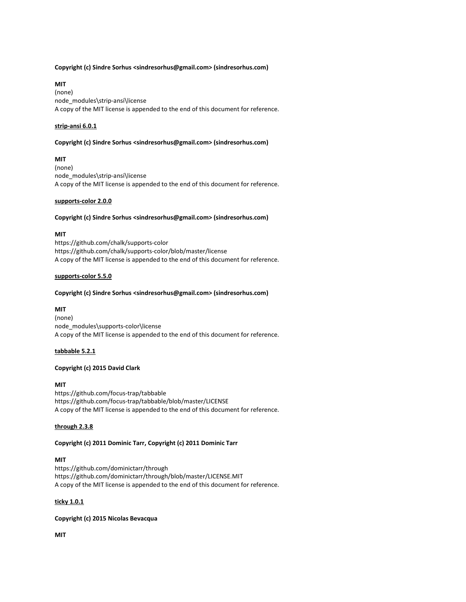## Copyright (c) Sindre Sorhus <sindresorhus@gmail.com> (sindresorhus.com)

## MIT

(none) node\_modules\strip-ansi\license A copy of the MIT license is appended to the end of this document for reference.

## strip-ansi 6.0.1

## Copyright (c) Sindre Sorhus <sindresorhus@gmail.com> (sindresorhus.com)

# MIT

(none) node\_modules\strip-ansi\license A copy of the MIT license is appended to the end of this document for reference.

## supports-color 2.0.0

## Copyright (c) Sindre Sorhus <sindresorhus@gmail.com> (sindresorhus.com)

## MIT

https://github.com/chalk/supports-color https://github.com/chalk/supports-color/blob/master/license A copy of the MIT license is appended to the end of this document for reference.

## supports-color 5.5.0

# Copyright (c) Sindre Sorhus <sindresorhus@gmail.com> (sindresorhus.com)

## MIT

(none) node\_modules\supports-color\license A copy of the MIT license is appended to the end of this document for reference.

## tabbable 5.2.1

# Copyright (c) 2015 David Clark

# MIT

https://github.com/focus-trap/tabbable https://github.com/focus-trap/tabbable/blob/master/LICENSE A copy of the MIT license is appended to the end of this document for reference.

## through 2.3.8

# Copyright (c) 2011 Dominic Tarr, Copyright (c) 2011 Dominic Tarr

# MIT

https://github.com/dominictarr/through https://github.com/dominictarr/through/blob/master/LICENSE.MIT A copy of the MIT license is appended to the end of this document for reference.

# ticky 1.0.1

# Copyright (c) 2015 Nicolas Bevacqua

MIT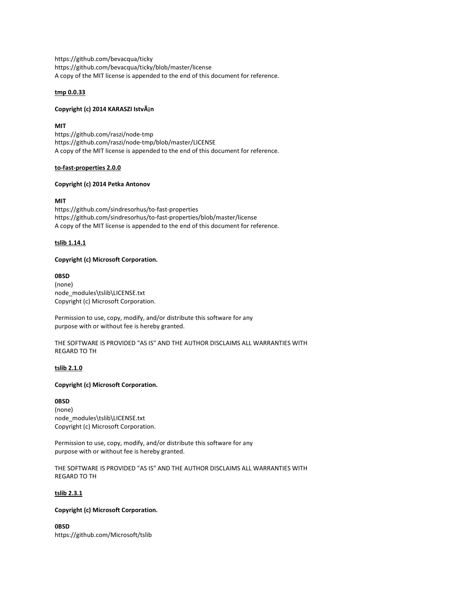https://github.com/bevacqua/ticky https://github.com/bevacqua/ticky/blob/master/license A copy of the MIT license is appended to the end of this document for reference.

# tmp 0.0.33

# Copyright (c) 2014 KARASZI IstvÁjn

MIT

https://github.com/raszi/node-tmp https://github.com/raszi/node-tmp/blob/master/LICENSE A copy of the MIT license is appended to the end of this document for reference.

# to-fast-properties 2.0.0

# Copyright (c) 2014 Petka Antonov

# MIT

https://github.com/sindresorhus/to-fast-properties https://github.com/sindresorhus/to-fast-properties/blob/master/license A copy of the MIT license is appended to the end of this document for reference.

# tslib 1.14.1

# Copyright (c) Microsoft Corporation.

## 0BSD

(none) node\_modules\tslib\LICENSE.txt Copyright (c) Microsoft Corporation.

Permission to use, copy, modify, and/or distribute this software for any purpose with or without fee is hereby granted.

THE SOFTWARE IS PROVIDED "AS IS" AND THE AUTHOR DISCLAIMS ALL WARRANTIES WITH REGARD TO TH

# tslib 2.1.0

## Copyright (c) Microsoft Corporation.

0BSD (none) node\_modules\tslib\LICENSE.txt Copyright (c) Microsoft Corporation.

Permission to use, copy, modify, and/or distribute this software for any purpose with or without fee is hereby granted.

THE SOFTWARE IS PROVIDED "AS IS" AND THE AUTHOR DISCLAIMS ALL WARRANTIES WITH REGARD TO TH

# tslib 2.3.1

# Copyright (c) Microsoft Corporation.

0BSD https://github.com/Microsoft/tslib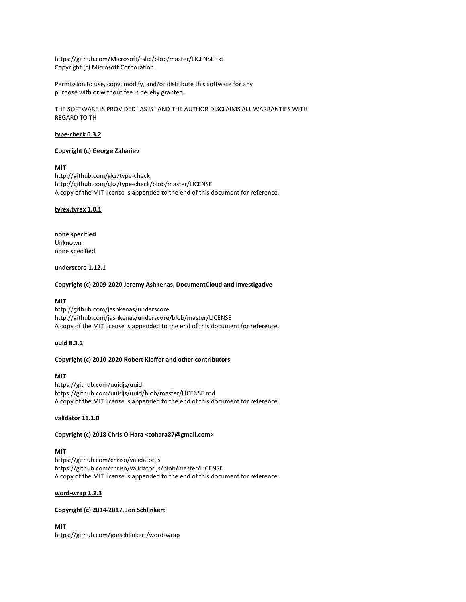https://github.com/Microsoft/tslib/blob/master/LICENSE.txt Copyright (c) Microsoft Corporation.

Permission to use, copy, modify, and/or distribute this software for any purpose with or without fee is hereby granted.

THE SOFTWARE IS PROVIDED "AS IS" AND THE AUTHOR DISCLAIMS ALL WARRANTIES WITH REGARD TO TH

## type-check 0.3.2

# Copyright (c) George Zahariev

# MIT

http://github.com/gkz/type-check http://github.com/gkz/type-check/blob/master/LICENSE A copy of the MIT license is appended to the end of this document for reference.

#### tyrex.tyrex 1.0.1

# none specified Unknown none specified

## underscore 1.12.1

#### Copyright (c) 2009-2020 Jeremy Ashkenas, DocumentCloud and Investigative

## MIT

http://github.com/jashkenas/underscore http://github.com/jashkenas/underscore/blob/master/LICENSE A copy of the MIT license is appended to the end of this document for reference.

## uuid 8.3.2

# Copyright (c) 2010-2020 Robert Kieffer and other contributors

# MIT

https://github.com/uuidjs/uuid https://github.com/uuidjs/uuid/blob/master/LICENSE.md A copy of the MIT license is appended to the end of this document for reference.

## validator 11.1.0

## Copyright (c) 2018 Chris O'Hara <cohara87@gmail.com>

## MIT

https://github.com/chriso/validator.js https://github.com/chriso/validator.js/blob/master/LICENSE A copy of the MIT license is appended to the end of this document for reference.

## word-wrap 1.2.3

# Copyright (c) 2014-2017, Jon Schlinkert

MIT https://github.com/jonschlinkert/word-wrap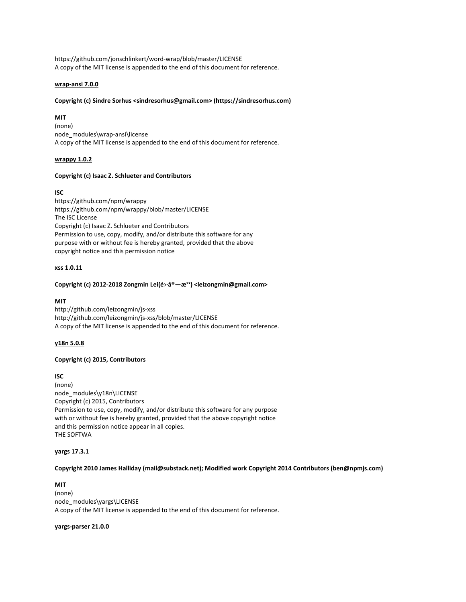https://github.com/jonschlinkert/word-wrap/blob/master/LICENSE A copy of the MIT license is appended to the end of this document for reference.

## wrap-ansi 7.0.0

# Copyright (c) Sindre Sorhus <sindresorhus@gmail.com> (https://sindresorhus.com)

# **MIT**

(none) node\_modules\wrap-ansi\license A copy of the MIT license is appended to the end of this document for reference.

# wrappy 1.0.2

## Copyright (c) Isaac Z. Schlueter and Contributors

# ISC

https://github.com/npm/wrappy https://github.com/npm/wrappy/blob/master/LICENSE The ISC License Copyright (c) Isaac Z. Schlueter and Contributors Permission to use, copy, modify, and/or distribute this software for any purpose with or without fee is hereby granted, provided that the above copyright notice and this permission notice

# xss 1.0.11

## Copyright (c) 2012-2018 Zongmin Lei(é›·å®—æ°') <leizongmin@gmail.com>

# MIT

http://github.com/leizongmin/js-xss http://github.com/leizongmin/js-xss/blob/master/LICENSE A copy of the MIT license is appended to the end of this document for reference.

# y18n 5.0.8

# Copyright (c) 2015, Contributors

# ISC (none) node\_modules\y18n\LICENSE Copyright (c) 2015, Contributors Permission to use, copy, modify, and/or distribute this software for any purpose with or without fee is hereby granted, provided that the above copyright notice and this permission notice appear in all copies. THE SOFTWA

# yargs 17.3.1

Copyright 2010 James Halliday (mail@substack.net); Modified work Copyright 2014 Contributors (ben@npmjs.com)

MIT (none) node\_modules\yargs\LICENSE A copy of the MIT license is appended to the end of this document for reference.

## yargs-parser 21.0.0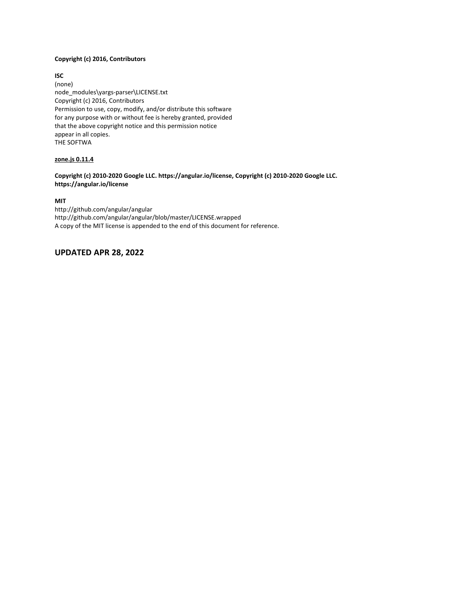# Copyright (c) 2016, Contributors

ISC (none) node\_modules\yargs-parser\LICENSE.txt Copyright (c) 2016, Contributors Permission to use, copy, modify, and/or distribute this software for any purpose with or without fee is hereby granted, provided that the above copyright notice and this permission notice appear in all copies. THE SOFTWA

# zone.js 0.11.4

# Copyright (c) 2010-2020 Google LLC. https://angular.io/license, Copyright (c) 2010-2020 Google LLC. https://angular.io/license

# MIT

http://github.com/angular/angular http://github.com/angular/angular/blob/master/LICENSE.wrapped A copy of the MIT license is appended to the end of this document for reference.

# UPDATED APR 28, 2022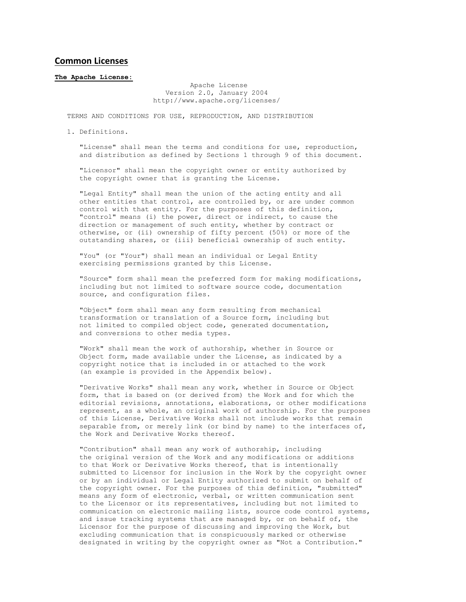# Common Licenses

#### The Apache License:

 Apache License Version 2.0, January 2004 http://www.apache.org/licenses/

TERMS AND CONDITIONS FOR USE, REPRODUCTION, AND DISTRIBUTION

1. Definitions.

 "License" shall mean the terms and conditions for use, reproduction, and distribution as defined by Sections 1 through 9 of this document.

 "Licensor" shall mean the copyright owner or entity authorized by the copyright owner that is granting the License.

 "Legal Entity" shall mean the union of the acting entity and all other entities that control, are controlled by, or are under common control with that entity. For the purposes of this definition, "control" means (i) the power, direct or indirect, to cause the direction or management of such entity, whether by contract or otherwise, or (ii) ownership of fifty percent (50%) or more of the outstanding shares, or (iii) beneficial ownership of such entity.

 "You" (or "Your") shall mean an individual or Legal Entity exercising permissions granted by this License.

 "Source" form shall mean the preferred form for making modifications, including but not limited to software source code, documentation source, and configuration files.

 "Object" form shall mean any form resulting from mechanical transformation or translation of a Source form, including but not limited to compiled object code, generated documentation, and conversions to other media types.

 "Work" shall mean the work of authorship, whether in Source or Object form, made available under the License, as indicated by a copyright notice that is included in or attached to the work (an example is provided in the Appendix below).

 "Derivative Works" shall mean any work, whether in Source or Object form, that is based on (or derived from) the Work and for which the editorial revisions, annotations, elaborations, or other modifications represent, as a whole, an original work of authorship. For the purposes of this License, Derivative Works shall not include works that remain separable from, or merely link (or bind by name) to the interfaces of, the Work and Derivative Works thereof.

 "Contribution" shall mean any work of authorship, including the original version of the Work and any modifications or additions to that Work or Derivative Works thereof, that is intentionally submitted to Licensor for inclusion in the Work by the copyright owner or by an individual or Legal Entity authorized to submit on behalf of the copyright owner. For the purposes of this definition, "submitted" means any form of electronic, verbal, or written communication sent to the Licensor or its representatives, including but not limited to communication on electronic mailing lists, source code control systems, and issue tracking systems that are managed by, or on behalf of, the Licensor for the purpose of discussing and improving the Work, but excluding communication that is conspicuously marked or otherwise designated in writing by the copyright owner as "Not a Contribution."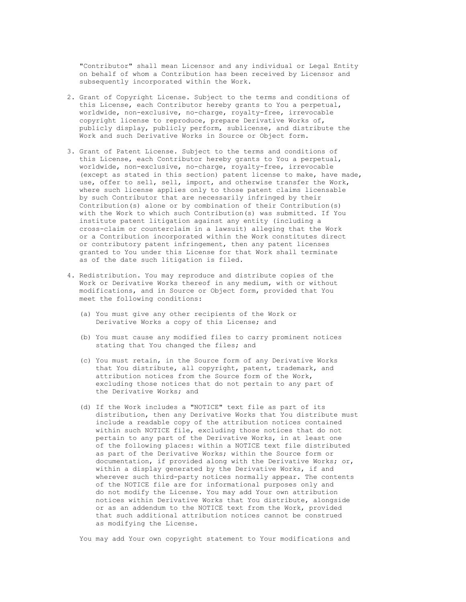"Contributor" shall mean Licensor and any individual or Legal Entity on behalf of whom a Contribution has been received by Licensor and subsequently incorporated within the Work.

- 2. Grant of Copyright License. Subject to the terms and conditions of this License, each Contributor hereby grants to You a perpetual, worldwide, non-exclusive, no-charge, royalty-free, irrevocable copyright license to reproduce, prepare Derivative Works of, publicly display, publicly perform, sublicense, and distribute the Work and such Derivative Works in Source or Object form.
- 3. Grant of Patent License. Subject to the terms and conditions of this License, each Contributor hereby grants to You a perpetual, worldwide, non-exclusive, no-charge, royalty-free, irrevocable (except as stated in this section) patent license to make, have made, use, offer to sell, sell, import, and otherwise transfer the Work, where such license applies only to those patent claims licensable by such Contributor that are necessarily infringed by their Contribution(s) alone or by combination of their Contribution(s) with the Work to which such Contribution(s) was submitted. If You institute patent litigation against any entity (including a cross-claim or counterclaim in a lawsuit) alleging that the Work or a Contribution incorporated within the Work constitutes direct or contributory patent infringement, then any patent licenses granted to You under this License for that Work shall terminate as of the date such litigation is filed.
- 4. Redistribution. You may reproduce and distribute copies of the Work or Derivative Works thereof in any medium, with or without modifications, and in Source or Object form, provided that You meet the following conditions:
	- (a) You must give any other recipients of the Work or Derivative Works a copy of this License; and
	- (b) You must cause any modified files to carry prominent notices stating that You changed the files; and
	- (c) You must retain, in the Source form of any Derivative Works that You distribute, all copyright, patent, trademark, and attribution notices from the Source form of the Work, excluding those notices that do not pertain to any part of the Derivative Works; and
	- (d) If the Work includes a "NOTICE" text file as part of its distribution, then any Derivative Works that You distribute must include a readable copy of the attribution notices contained within such NOTICE file, excluding those notices that do not pertain to any part of the Derivative Works, in at least one of the following places: within a NOTICE text file distributed as part of the Derivative Works; within the Source form or documentation, if provided along with the Derivative Works; or, within a display generated by the Derivative Works, if and wherever such third-party notices normally appear. The contents of the NOTICE file are for informational purposes only and do not modify the License. You may add Your own attribution notices within Derivative Works that You distribute, alongside or as an addendum to the NOTICE text from the Work, provided that such additional attribution notices cannot be construed as modifying the License.

You may add Your own copyright statement to Your modifications and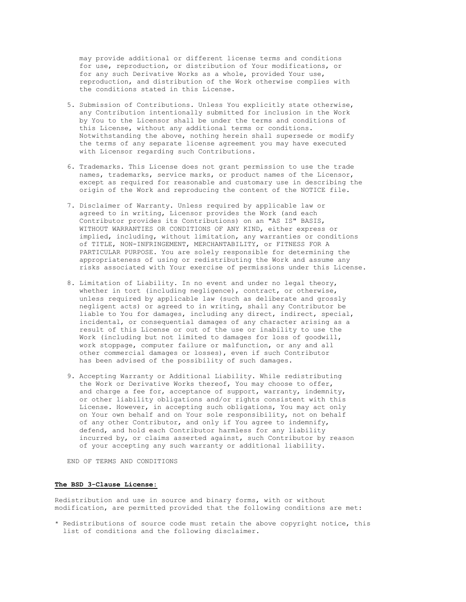may provide additional or different license terms and conditions for use, reproduction, or distribution of Your modifications, or for any such Derivative Works as a whole, provided Your use, reproduction, and distribution of the Work otherwise complies with the conditions stated in this License.

- 5. Submission of Contributions. Unless You explicitly state otherwise, any Contribution intentionally submitted for inclusion in the Work by You to the Licensor shall be under the terms and conditions of this License, without any additional terms or conditions. Notwithstanding the above, nothing herein shall supersede or modify the terms of any separate license agreement you may have executed with Licensor regarding such Contributions.
- 6. Trademarks. This License does not grant permission to use the trade names, trademarks, service marks, or product names of the Licensor, except as required for reasonable and customary use in describing the origin of the Work and reproducing the content of the NOTICE file.
- 7. Disclaimer of Warranty. Unless required by applicable law or agreed to in writing, Licensor provides the Work (and each Contributor provides its Contributions) on an "AS IS" BASIS, WITHOUT WARRANTIES OR CONDITIONS OF ANY KIND, either express or implied, including, without limitation, any warranties or conditions of TITLE, NON-INFRINGEMENT, MERCHANTABILITY, or FITNESS FOR A PARTICULAR PURPOSE. You are solely responsible for determining the appropriateness of using or redistributing the Work and assume any risks associated with Your exercise of permissions under this License.
- 8. Limitation of Liability. In no event and under no legal theory, whether in tort (including negligence), contract, or otherwise, unless required by applicable law (such as deliberate and grossly negligent acts) or agreed to in writing, shall any Contributor be liable to You for damages, including any direct, indirect, special, incidental, or consequential damages of any character arising as a result of this License or out of the use or inability to use the Work (including but not limited to damages for loss of goodwill, work stoppage, computer failure or malfunction, or any and all other commercial damages or losses), even if such Contributor has been advised of the possibility of such damages.
- 9. Accepting Warranty or Additional Liability. While redistributing the Work or Derivative Works thereof, You may choose to offer, and charge a fee for, acceptance of support, warranty, indemnity, or other liability obligations and/or rights consistent with this License. However, in accepting such obligations, You may act only on Your own behalf and on Your sole responsibility, not on behalf of any other Contributor, and only if You agree to indemnify, defend, and hold each Contributor harmless for any liability incurred by, or claims asserted against, such Contributor by reason of your accepting any such warranty or additional liability.

END OF TERMS AND CONDITIONS

#### The BSD 3-Clause License:

Redistribution and use in source and binary forms, with or without modification, are permitted provided that the following conditions are met:

\* Redistributions of source code must retain the above copyright notice, this list of conditions and the following disclaimer.